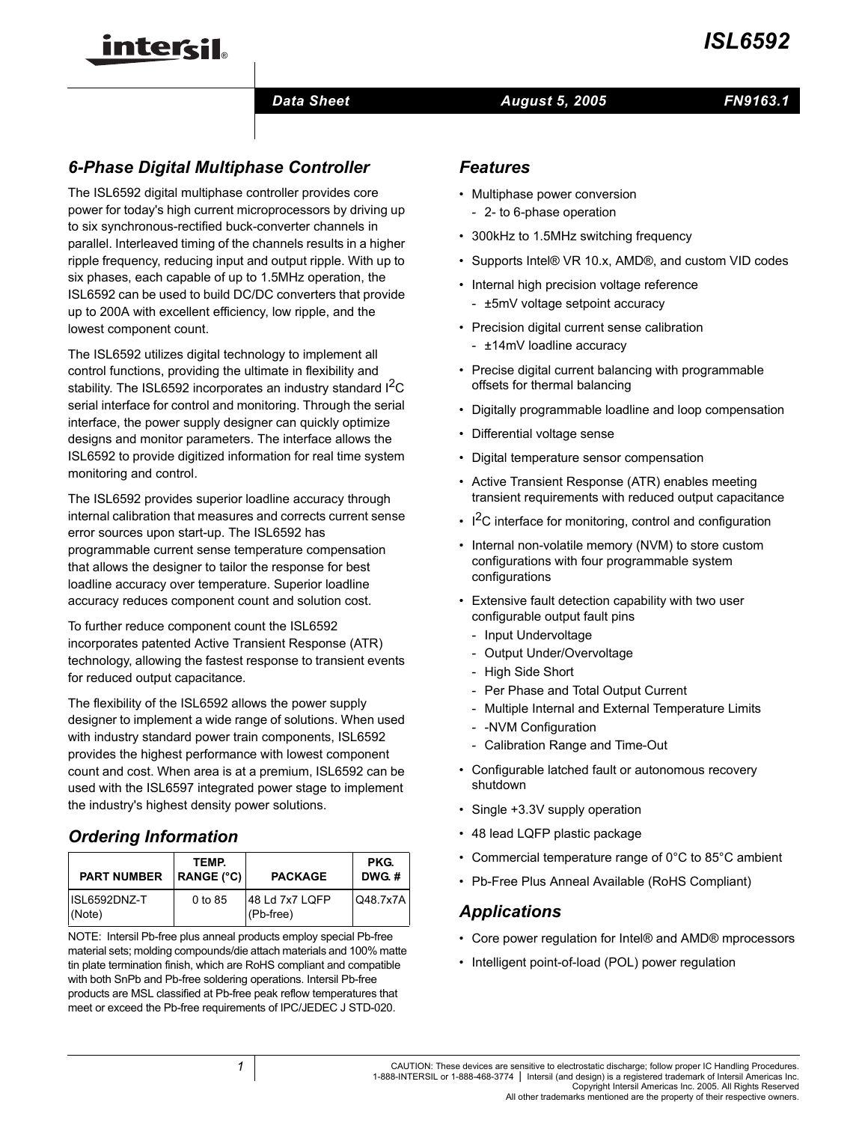

## **Data Sheet August 5, 2005**

## *FN9163.1*

# *6-Phase Digital Multiphase Controller*

The ISL6592 digital multiphase controller provides core power for today's high current microprocessors by driving up to six synchronous-rectified buck-converter channels in parallel. Interleaved timing of the channels results in a higher ripple frequency, reducing input and output ripple. With up to six phases, each capable of up to 1.5MHz operation, the ISL6592 can be used to build DC/DC converters that provide up to 200A with excellent efficiency, low ripple, and the lowest component count.

The ISL6592 utilizes digital technology to implement all control functions, providing the ultimate in flexibility and stability. The ISL6592 incorporates an industry standard I<sup>2</sup>C serial interface for control and monitoring. Through the serial interface, the power supply designer can quickly optimize designs and monitor parameters. The interface allows the ISL6592 to provide digitized information for real time system monitoring and control.

The ISL6592 provides superior loadline accuracy through internal calibration that measures and corrects current sense error sources upon start-up. The ISL6592 has programmable current sense temperature compensation that allows the designer to tailor the response for best loadline accuracy over temperature. Superior loadline accuracy reduces component count and solution cost.

To further reduce component count the ISL6592 incorporates patented Active Transient Response (ATR) technology, allowing the fastest response to transient events for reduced output capacitance.

The flexibility of the ISL6592 allows the power supply designer to implement a wide range of solutions. When used with industry standard power train components, ISL6592 provides the highest performance with lowest component count and cost. When area is at a premium, ISL6592 can be used with the ISL6597 integrated power stage to implement the industry's highest density power solutions.

# *Ordering Information*

| <b>PART NUMBER</b>     | TEMP.<br>RANGE $(^{\circ}C)$ | <b>PACKAGE</b>              | PKG.<br>DWG.# |
|------------------------|------------------------------|-----------------------------|---------------|
| ISL6592DNZ-T<br>(Note) | 0 to 85                      | 48 Ld 7x7 LQFP<br>(Pb-free) | Q48.7x7A      |

NOTE: Intersil Pb-free plus anneal products employ special Pb-free material sets; molding compounds/die attach materials and 100% matte tin plate termination finish, which are RoHS compliant and compatible with both SnPb and Pb-free soldering operations. Intersil Pb-free products are MSL classified at Pb-free peak reflow temperatures that meet or exceed the Pb-free requirements of IPC/JEDEC J STD-020.

## *Features*

- Multiphase power conversion
	- 2- to 6-phase operation
- 300kHz to 1.5MHz switching frequency
- Supports Intel® VR 10.x, AMD®, and custom VID codes
- Internal high precision voltage reference - ±5mV voltage setpoint accuracy
- Precision digital current sense calibration - ±14mV loadline accuracy
- Precise digital current balancing with programmable offsets for thermal balancing
- Digitally programmable loadline and loop compensation
- Differential voltage sense
- Digital temperature sensor compensation
- Active Transient Response (ATR) enables meeting transient requirements with reduced output capacitance
- $\cdot$  I<sup>2</sup>C interface for monitoring, control and configuration
- Internal non-volatile memory (NVM) to store custom configurations with four programmable system configurations
- Extensive fault detection capability with two user configurable output fault pins
	- Input Undervoltage
	- Output Under/Overvoltage
	- High Side Short
	- Per Phase and Total Output Current
	- Multiple Internal and External Temperature Limits
	- -NVM Configuration
	- Calibration Range and Time-Out
- Configurable latched fault or autonomous recovery shutdown
- Single +3.3V supply operation
- 48 lead LQFP plastic package
- Commercial temperature range of 0°C to 85°C ambient
- Pb-Free Plus Anneal Available (RoHS Compliant)

## *Applications*

- Core power regulation for Intel® and AMD® mprocessors
- Intelligent point-of-load (POL) power regulation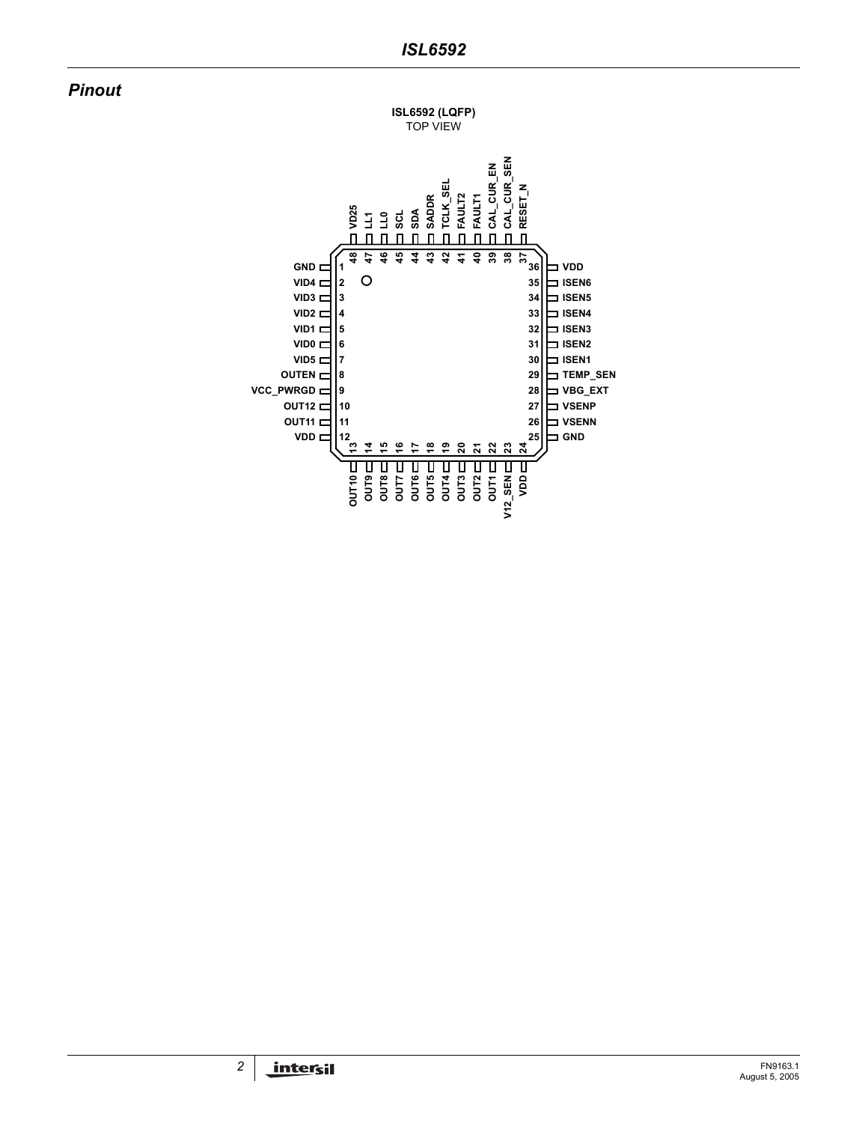## *Pinout*

**ISL6592 (LQFP)** TOP VIEW

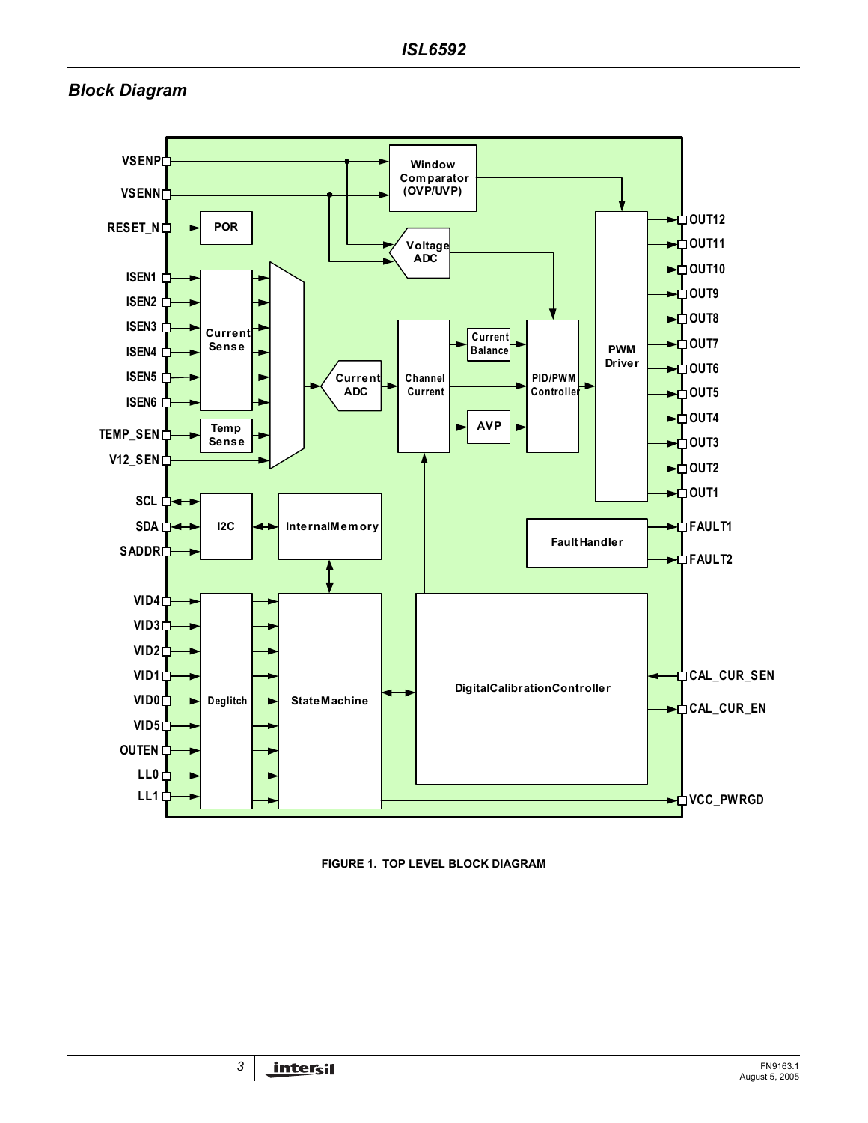## *Block Diagram*



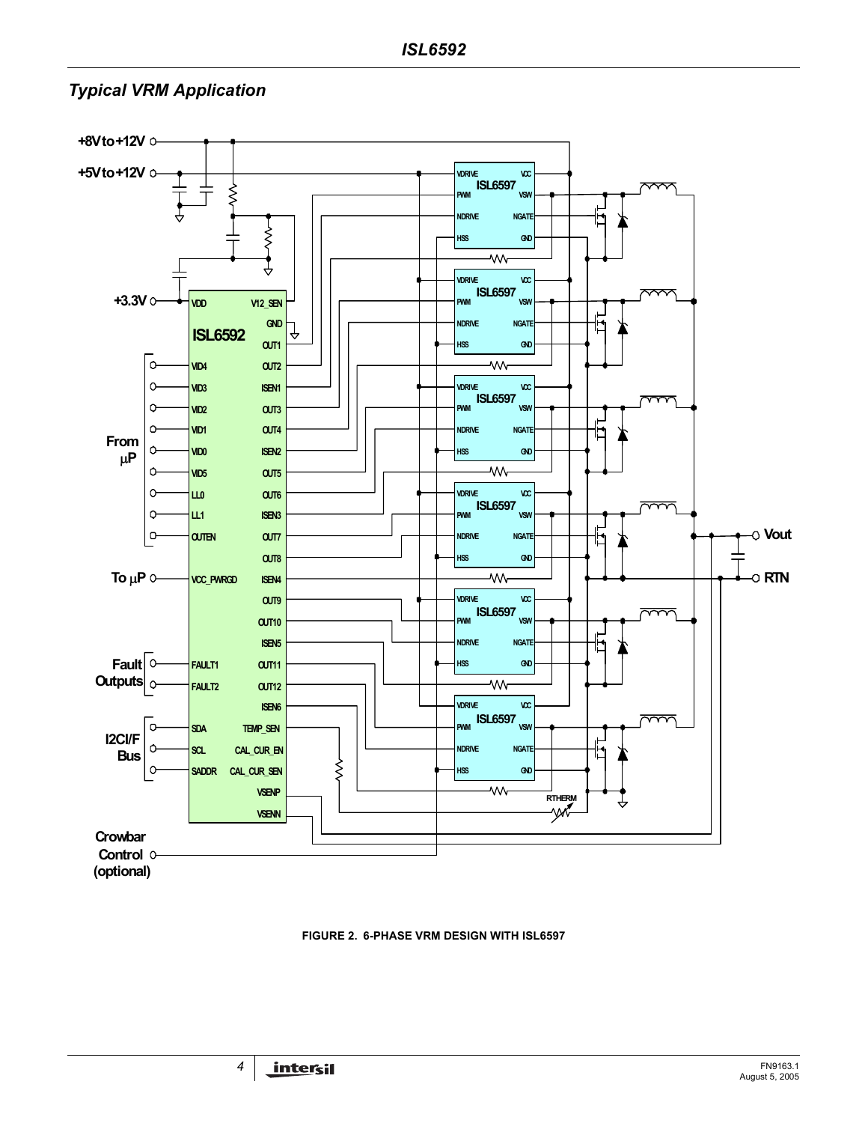## *Typical VRM Application*



#### **FIGURE 2. 6-PHASE VRM DESIGN WITH ISL6597**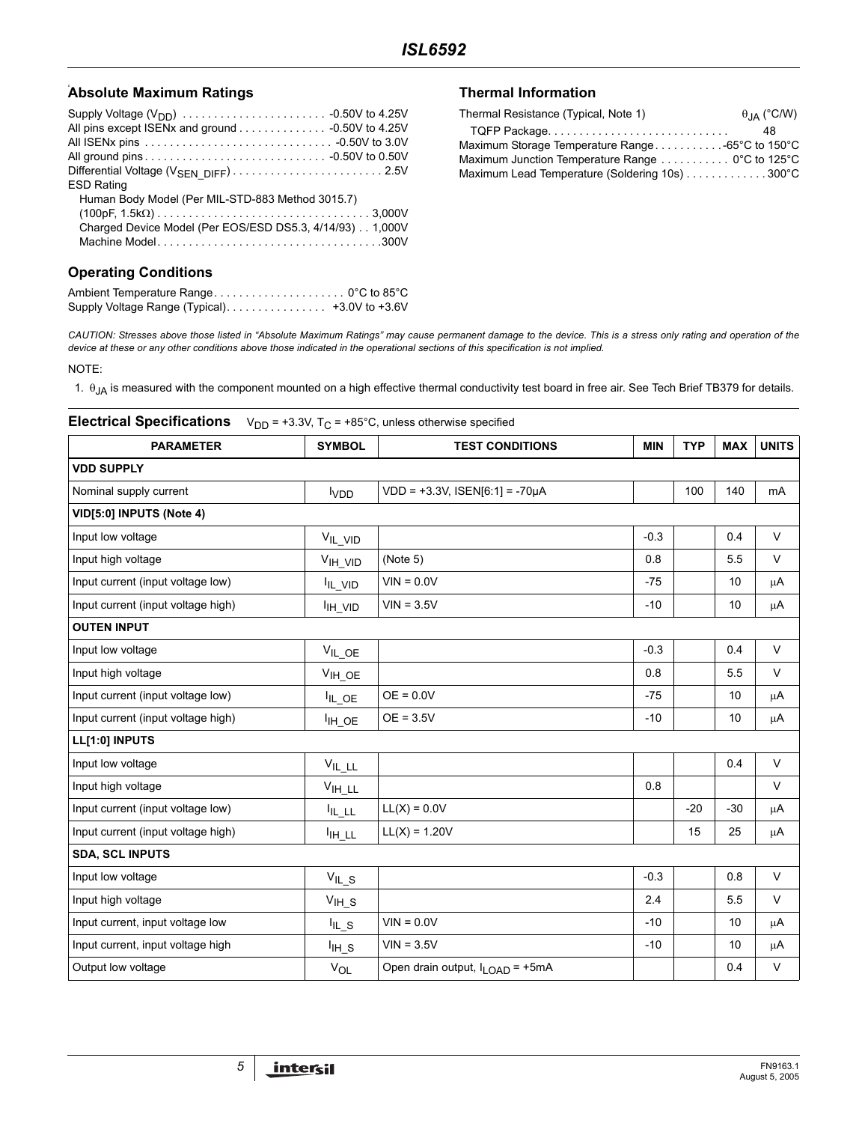#### **Absolute Maximum Ratings the Control of the Control of Thermal Information**

| <b>ESD Rating</b>                                        |
|----------------------------------------------------------|
| Human Body Model (Per MIL-STD-883 Method 3015.7)         |
|                                                          |
| Charged Device Model (Per EOS/ESD DS5.3, 4/14/93) 1,000V |
|                                                          |
|                                                          |

### **Operating Conditions**

| Supply Voltage Range (Typical) | +3.0V to +3.6V |
|--------------------------------|----------------|

| Thermal Resistance (Typical, Note 1)             | $\theta$ <sub>JA</sub> (°C/W) |
|--------------------------------------------------|-------------------------------|
| TQFP Package                                     | 48                            |
|                                                  |                               |
| Maximum Junction Temperature Range  0°C to 125°C |                               |
| Maximum Lead Temperature (Soldering 10s) 300°C   |                               |

*CAUTION: Stresses above those listed in "Absolute Maximum Ratings" may cause permanent damage to the device. This is a stress only rating and operation of the device at these or any other conditions above those indicated in the operational sections of this specification is not implied.*

NOTE:

1.  $\theta_{JA}$  is measured with the component mounted on a high effective thermal conductivity test board in free air. See Tech Brief TB379 for details.

# **Electrical Specifications**  $V_{DD} = +3.3V$ ,  $T_C = +85^{\circ}C$ , unless otherwise specified **PARAMETER** SYMBOL TEST CONDITIONS MIN TYP MAX UNITS **VDD SUPPLY**  Nominal supply current  $VDD = +3.3V$ , ISEN[6:1] = -70µA 100 | 140 | mA **VID[5:0] INPUTS (Note 4)** Input low voltage VIL\_VID -0.3 0.4 V Input high voltage  $\vert$  V<sub>IH\_VID</sub> (Note 5) 0.8  $\vert$  5.5 V Input current (input voltage low)  $I_{\parallel L VID}$  VIN = 0.0V  $-75$  | 10 | µA Input current (input voltage high) IIH\_VID VIN = 3.5V -10 10 µA **OUTEN INPUT** Input low voltage  $V_{\rm IL\_OE}$  -0.3 0.4 V Input high voltage VIH\_OE 0.8 5.5 V Input current (input voltage low)  $I_{IL$  OE = 0.0V  $-75$  | 10 | µA Input current (input voltage high)  $\vert$   $\vert$   $\vert$   $\vert$  OE = 3.5V  $\vert$  -10  $\vert$   $\vert$  10  $\vert$   $\vert$   $\vert$ A **LL[1:0] INPUTS** Input low voltage  $V_{\mathsf{IL}_\mathsf{ILL}}$   $V_{\mathsf{IL}_\mathsf{ILL}}$   $V_{\mathsf{ILL}}$ Input high voltage and the view of  $V_{\text{H}}$  put and the view of  $\sim$  0.8  $\mid$  V v Input current (input voltage low)  $I_{\text{IL LL}}$  LL(X) = 0.0V  $-20$  -30 |  $\mu$ A Input current (input voltage high) IIH\_LL LL(X) = 1.20V 15 25 µA **SDA, SCL INPUTS** Input low voltage  $V_{\mathsf{IL\_S}}$   $V_{\mathsf{IL\_S}}$  and  $V$ Input high voltage  $V_{\text{H-S}}$   $V_{\text{H-S}}$   $2.4$  5.5 V Input current, input voltage low  $I_{\parallel}$  s  $\vert$  VIN = 0.0V  $\vert$  -10  $\vert$  pA Input current, input voltage high  $I_{\text{IH-S}}$  VIN = 3.5V  $\vert$  -10  $\vert$  10  $\vert$   $\mu$ A Output low voltage and the V<sub>OL</sub> Open drain output, I<sub>LOAD</sub> = +5mA contract contract and the V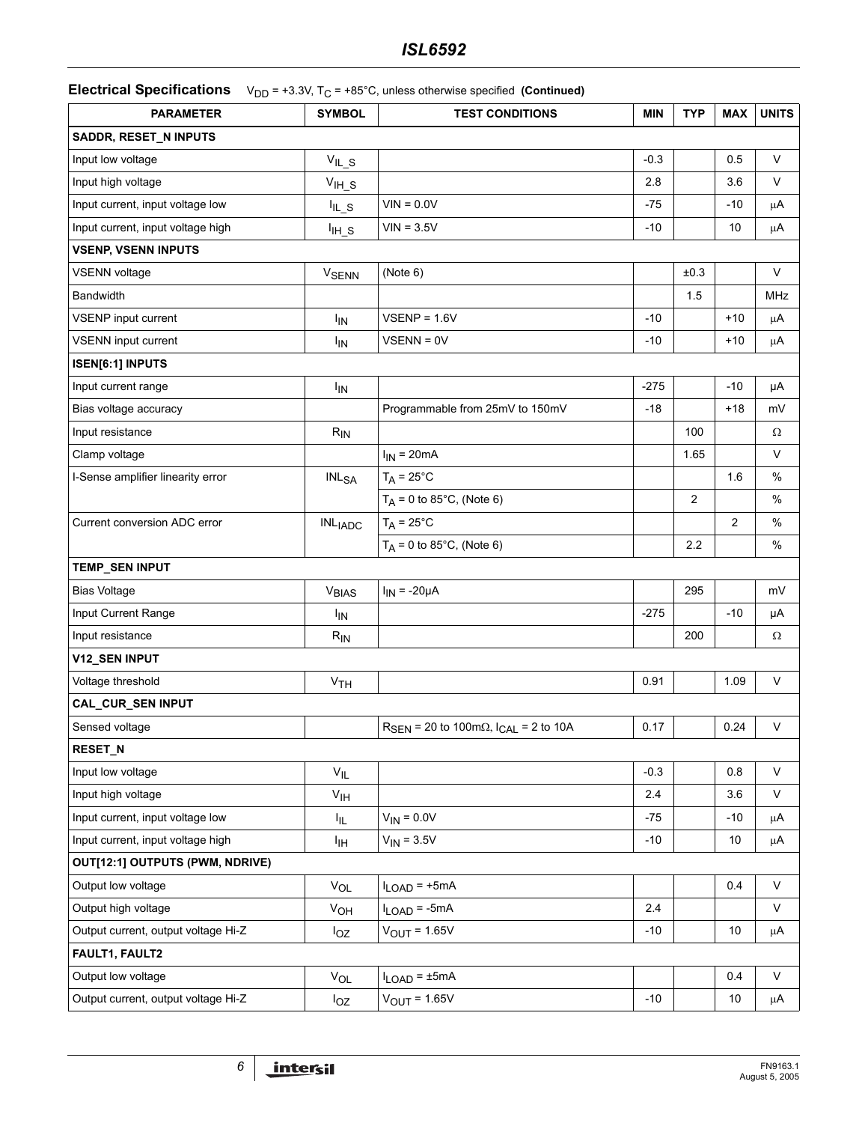**Electrical Specifications**  $V_{DD} = +3.3V$ ,  $T_C = +85^{\circ}C$ , unless otherwise specified **(Continued)** 

| <b>PARAMETER</b>                    | <b>SYMBOL</b>           | <b>TEST CONDITIONS</b>                                               | <b>MIN</b> | <b>TYP</b> | <b>MAX</b>   | <b>UNITS</b> |
|-------------------------------------|-------------------------|----------------------------------------------------------------------|------------|------------|--------------|--------------|
| SADDR, RESET_N INPUTS               |                         |                                                                      |            |            |              |              |
| Input low voltage                   | $V_{IL\_S}$             |                                                                      | $-0.3$     |            | 0.5          | V            |
| Input high voltage                  | $V_{IH_S}$              |                                                                      | 2.8        |            | 3.6          | V            |
| Input current, input voltage low    | $I_{IL\_S}$             | $VIN = 0.0V$                                                         | $-75$      |            | $-10$        | μA           |
| Input current, input voltage high   | $I_{H_S}$               | $VIN = 3.5V$                                                         | $-10$      |            | 10           | μA           |
| <b>VSENP, VSENN INPUTS</b>          |                         |                                                                      |            |            |              |              |
| <b>VSENN</b> voltage                | <b>V<sub>SENN</sub></b> | (Note 6)                                                             |            | ±0.3       |              | V            |
| <b>Bandwidth</b>                    |                         |                                                                      |            | 1.5        |              | <b>MHz</b>   |
| VSENP input current                 | <b>I<sub>IN</sub></b>   | $VSENP = 1.6V$                                                       | $-10$      |            | $+10$        | μA           |
| VSENN input current                 | <b>I<sub>IN</sub></b>   | $VSENN = 0V$                                                         | $-10$      |            | $+10$        | μA           |
| <b>ISEN[6:1] INPUTS</b>             |                         |                                                                      |            |            |              |              |
| Input current range                 | $I_{IN}$                |                                                                      | $-275$     |            | $-10$        | μA           |
| Bias voltage accuracy               |                         | Programmable from 25mV to 150mV                                      | $-18$      |            | $+18$        | mV           |
| Input resistance                    | $R_{IN}$                |                                                                      |            | 100        |              | Ω            |
| Clamp voltage                       |                         | $I_{IN}$ = 20mA                                                      |            | 1.65       |              | V            |
| I-Sense amplifier linearity error   | INL <sub>SA</sub>       | $T_A = 25^{\circ}C$                                                  |            |            | 1.6          | %            |
|                                     |                         | $T_A = 0$ to 85°C, (Note 6)                                          |            | 2          |              | %            |
| Current conversion ADC error        | <b>INLIADC</b>          | $T_A = 25^{\circ}C$                                                  |            |            | $\mathbf{2}$ | $\%$         |
|                                     |                         | $T_A = 0$ to 85°C, (Note 6)                                          |            | 2.2        |              | $\%$         |
| TEMP_SEN INPUT                      |                         |                                                                      |            |            |              |              |
| <b>Bias Voltage</b>                 | V <sub>BIAS</sub>       | $I_{IN}$ = -20 $\mu$ A                                               |            | 295        |              | mV           |
| Input Current Range                 | <b>I<sub>IN</sub></b>   |                                                                      | $-275$     |            | $-10$        | μA           |
| Input resistance                    | $R_{IN}$                |                                                                      |            | 200        |              | Ω            |
| V12_SEN INPUT                       |                         |                                                                      |            |            |              |              |
| Voltage threshold                   | V <sub>TH</sub>         |                                                                      | 0.91       |            | 1.09         | $\sf V$      |
| CAL_CUR_SEN INPUT                   |                         |                                                                      |            |            |              |              |
| Sensed voltage                      |                         | $R_{\text{SEN}}$ = 20 to 100m $\Omega$ , $I_{\text{CAL}}$ = 2 to 10A | 0.17       |            | 0.24         | V            |
| <b>RESET_N</b>                      |                         |                                                                      |            |            |              |              |
| Input low voltage                   | $V_{IL}$                |                                                                      | $-0.3$     |            | 0.8          | V            |
| Input high voltage                  | V <sub>IH</sub>         |                                                                      | 2.4        |            | 3.6          | V            |
| Input current, input voltage low    | Ι'n.                    | $V_{IN} = 0.0V$                                                      | $-75$      |            | $-10$        | μA           |
| Input current, input voltage high   | Iін                     | $V_{IN} = 3.5V$                                                      | $-10$      |            | 10           | μA           |
| OUT[12:1] OUTPUTS (PWM, NDRIVE)     |                         |                                                                      |            |            |              |              |
| Output low voltage                  | $V_{OL}$                | $I_{LOAD}$ = +5mA                                                    |            |            | 0.4          | $\sf V$      |
| Output high voltage                 | V <sub>OH</sub>         | $I_{LOAD}$ = -5mA                                                    | 2.4        |            |              | V            |
| Output current, output voltage Hi-Z | $I_{OZ}$                | $V_{OUT} = 1.65V$                                                    | $-10$      |            | 10           | μA           |
| FAULT1, FAULT2                      |                         |                                                                      |            |            |              |              |
| Output low voltage                  | <b>V<sub>OL</sub></b>   | $I_{LOAD} = \pm 5mA$                                                 |            |            | 0.4          | V            |
| Output current, output voltage Hi-Z | $I_{OZ}$                | $V_{OUT} = 1.65V$                                                    | $-10$      |            | 10           | $\mu$ A      |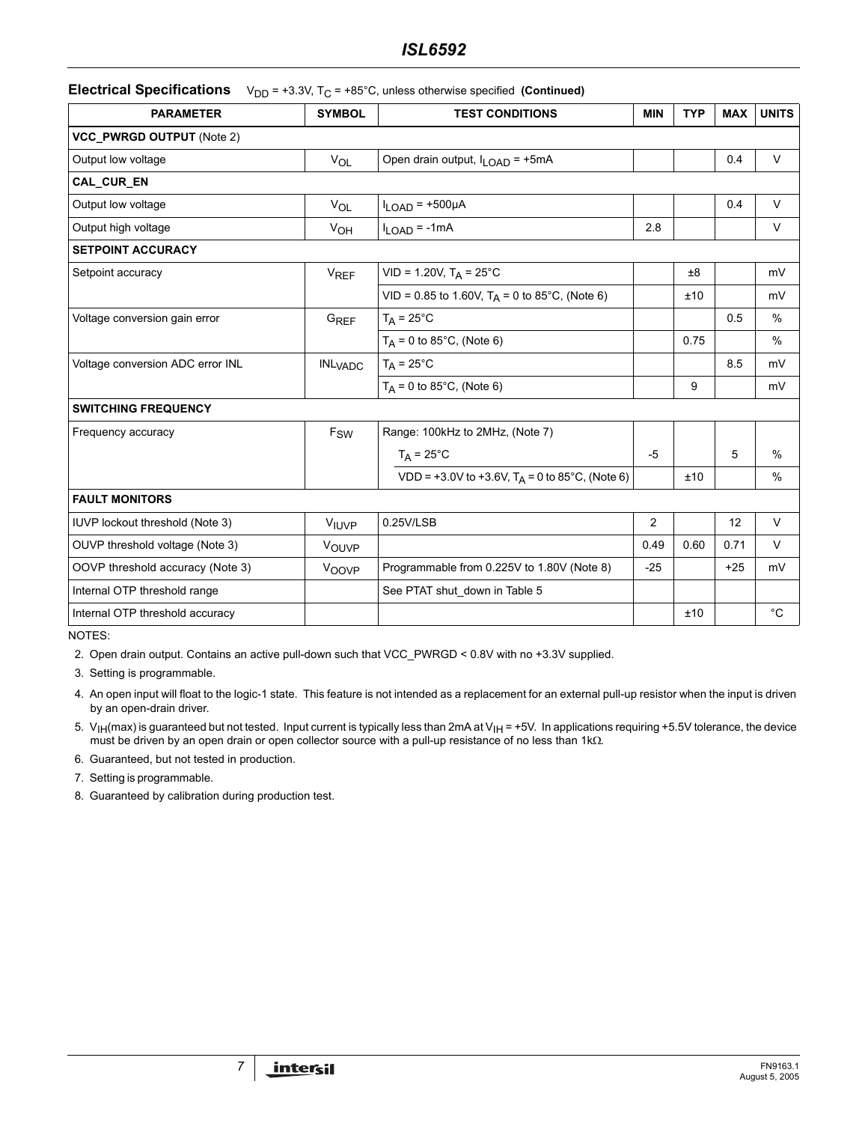## *ISL6592*

#### **Electrical Specifications** V<sub>DD</sub> = +3.3V, T<sub>C</sub> = +85°C, unless otherwise specified (Continued)

| <b>PARAMETER</b>                 | <b>SYMBOL</b>             | <b>TEST CONDITIONS</b>                              | <b>MIN</b>     | <b>TYP</b> | <b>MAX</b> | <b>UNITS</b> |
|----------------------------------|---------------------------|-----------------------------------------------------|----------------|------------|------------|--------------|
| VCC_PWRGD OUTPUT (Note 2)        |                           |                                                     |                |            |            |              |
| Output low voltage               | VOL                       | Open drain output, I <sub>LOAD</sub> = +5mA         |                |            | 0.4        | $\vee$       |
| CAL CUR EN                       |                           |                                                     |                |            |            |              |
| Output low voltage               | $V_{OL}$                  | $I_{LOAD}$ = +500 $\mu$ A                           |                |            | 0.4        | $\vee$       |
| Output high voltage              | V <sub>OH</sub>           | $I_{LOAD}$ = -1mA                                   | 2.8            |            |            | V            |
| <b>SETPOINT ACCURACY</b>         |                           |                                                     |                |            |            |              |
| Setpoint accuracy                | <b>V<sub>REF</sub></b>    | $VID = 1.20V, T_A = 25°C$                           |                | ±8         |            | mV           |
|                                  |                           | VID = 0.85 to 1.60V, $T_A$ = 0 to 85°C, (Note 6)    |                | ±10        |            | mV           |
| Voltage conversion gain error    | G <sub>REF</sub>          | $T_A = 25^{\circ}C$                                 |                |            | 0.5        | $\%$         |
|                                  |                           | $T_A = 0$ to 85°C, (Note 6)                         |                | 0.75       |            | $\%$         |
| Voltage conversion ADC error INL | <b>INL<sub>VADC</sub></b> | $T_A = 25^{\circ}C$                                 |                |            | 8.5        | mV           |
|                                  |                           | $T_A = 0$ to 85°C, (Note 6)                         |                | 9          |            | mV           |
| <b>SWITCHING FREQUENCY</b>       |                           |                                                     |                |            |            |              |
| Frequency accuracy               | $F_{SW}$                  | Range: 100kHz to 2MHz, (Note 7)                     |                |            |            |              |
|                                  |                           | $T_A = 25^{\circ}C$                                 | $-5$           |            | 5          | $\%$         |
|                                  |                           | $VDD = +3.0V$ to +3.6V, $T_A = 0$ to 85°C, (Note 6) |                | ±10        |            | $\%$         |
| <b>FAULT MONITORS</b>            |                           |                                                     |                |            |            |              |
| IUVP lockout threshold (Note 3)  | VILIVP                    | 0.25V/LSB                                           | $\overline{2}$ |            | 12         | V            |
| OUVP threshold voltage (Note 3)  | VOUVP                     |                                                     | 0.49           | 0.60       | 0.71       | V            |
| OOVP threshold accuracy (Note 3) | VOOVP                     | Programmable from 0.225V to 1.80V (Note 8)          | $-25$          |            | $+25$      | mV           |
| Internal OTP threshold range     |                           | See PTAT shut_down in Table 5                       |                |            |            |              |
| Internal OTP threshold accuracy  |                           |                                                     |                | ±10        |            | $^{\circ}C$  |

NOTES:

2. Open drain output. Contains an active pull-down such that VCC\_PWRGD < 0.8V with no +3.3V supplied.

3. Setting is programmable.

4. An open input will float to the logic-1 state. This feature is not intended as a replacement for an external pull-up resistor when the input is driven by an open-drain driver.

5. V<sub>IH</sub>(max) is guaranteed but not tested. Input current is typically less than 2mA at V<sub>IH</sub> = +5V. In applications requiring +5.5V tolerance, the device must be driven by an open drain or open collector source with a pull-up resistance of no less than 1kΩ.

6. Guaranteed, but not tested in production.

7. Setting is programmable.

8. Guaranteed by calibration during production test.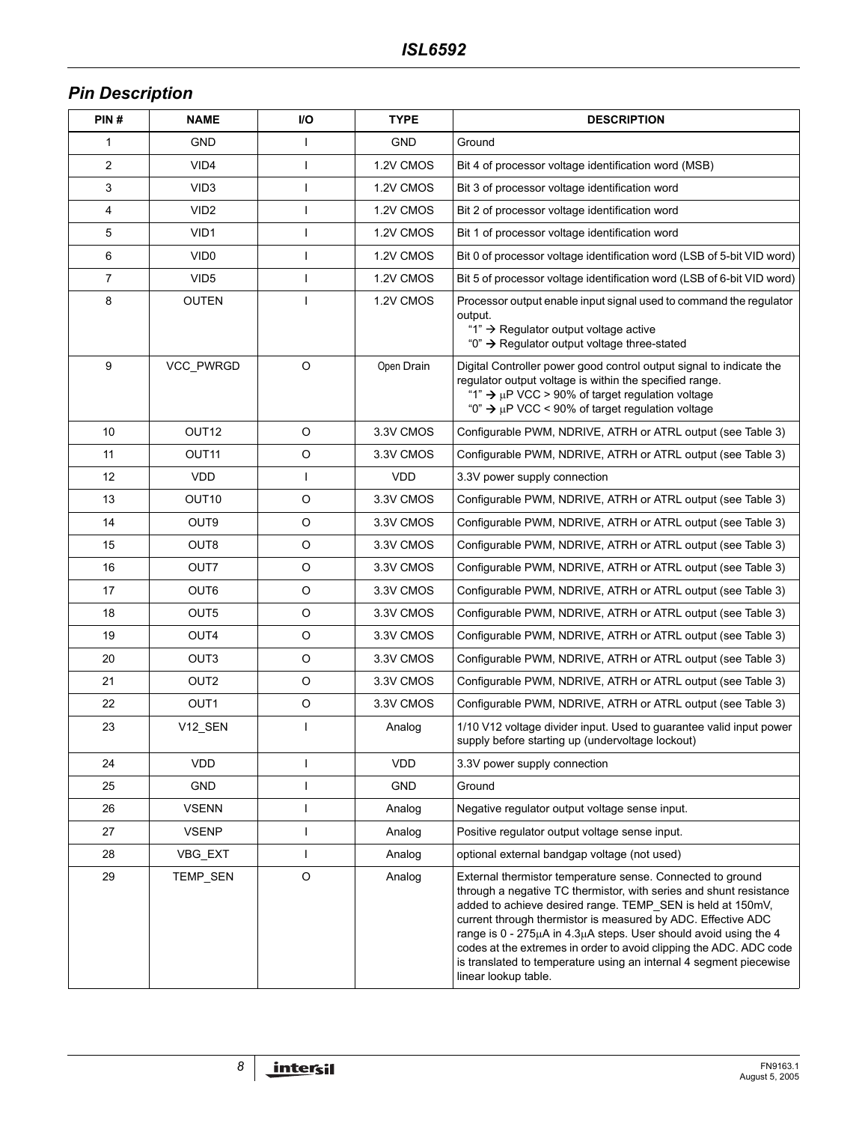## *Pin Description*

| PIN# | NAME              | I/O          | <b>TYPE</b> | <b>DESCRIPTION</b>                                                                                                                                                                                                                                                                                                                                                                                                                                                                                     |
|------|-------------------|--------------|-------------|--------------------------------------------------------------------------------------------------------------------------------------------------------------------------------------------------------------------------------------------------------------------------------------------------------------------------------------------------------------------------------------------------------------------------------------------------------------------------------------------------------|
| 1    | <b>GND</b>        |              | <b>GND</b>  | Ground                                                                                                                                                                                                                                                                                                                                                                                                                                                                                                 |
| 2    | VID <sub>4</sub>  | $\mathbf{I}$ | 1.2V CMOS   | Bit 4 of processor voltage identification word (MSB)                                                                                                                                                                                                                                                                                                                                                                                                                                                   |
| 3    | VID <sub>3</sub>  |              | 1.2V CMOS   | Bit 3 of processor voltage identification word                                                                                                                                                                                                                                                                                                                                                                                                                                                         |
| 4    | VID <sub>2</sub>  |              | 1.2V CMOS   | Bit 2 of processor voltage identification word                                                                                                                                                                                                                                                                                                                                                                                                                                                         |
| 5    | VID <sub>1</sub>  | -1           | 1.2V CMOS   | Bit 1 of processor voltage identification word                                                                                                                                                                                                                                                                                                                                                                                                                                                         |
| 6    | VID <sub>0</sub>  |              | 1.2V CMOS   | Bit 0 of processor voltage identification word (LSB of 5-bit VID word)                                                                                                                                                                                                                                                                                                                                                                                                                                 |
| 7    | VID <sub>5</sub>  |              | 1.2V CMOS   | Bit 5 of processor voltage identification word (LSB of 6-bit VID word)                                                                                                                                                                                                                                                                                                                                                                                                                                 |
| 8    | <b>OUTEN</b>      |              | 1.2V CMOS   | Processor output enable input signal used to command the regulator<br>output.<br>"1" $\rightarrow$ Regulator output voltage active<br>"0" $\rightarrow$ Regulator output voltage three-stated                                                                                                                                                                                                                                                                                                          |
| 9    | VCC_PWRGD         | $\circ$      | Open Drain  | Digital Controller power good control output signal to indicate the<br>regulator output voltage is within the specified range.<br>"1" $\rightarrow \mu$ P VCC > 90% of target regulation voltage<br>"0" $\rightarrow \mu$ P VCC < 90% of target regulation voltage                                                                                                                                                                                                                                     |
| 10   | OUT <sub>12</sub> | $\circ$      | 3.3V CMOS   | Configurable PWM, NDRIVE, ATRH or ATRL output (see Table 3)                                                                                                                                                                                                                                                                                                                                                                                                                                            |
| 11   | OUT <sub>11</sub> | O            | 3.3V CMOS   | Configurable PWM, NDRIVE, ATRH or ATRL output (see Table 3)                                                                                                                                                                                                                                                                                                                                                                                                                                            |
| 12   | <b>VDD</b>        | $\mathbf{I}$ | <b>VDD</b>  | 3.3V power supply connection                                                                                                                                                                                                                                                                                                                                                                                                                                                                           |
| 13   | OUT <sub>10</sub> | $\circ$      | 3.3V CMOS   | Configurable PWM, NDRIVE, ATRH or ATRL output (see Table 3)                                                                                                                                                                                                                                                                                                                                                                                                                                            |
| 14   | OUT <sub>9</sub>  | O            | 3.3V CMOS   | Configurable PWM, NDRIVE, ATRH or ATRL output (see Table 3)                                                                                                                                                                                                                                                                                                                                                                                                                                            |
| 15   | OUT8              | O            | 3.3V CMOS   | Configurable PWM, NDRIVE, ATRH or ATRL output (see Table 3)                                                                                                                                                                                                                                                                                                                                                                                                                                            |
| 16   | OUT7              | $\circ$      | 3.3V CMOS   | Configurable PWM, NDRIVE, ATRH or ATRL output (see Table 3)                                                                                                                                                                                                                                                                                                                                                                                                                                            |
| 17   | OUT6              | O            | 3.3V CMOS   | Configurable PWM, NDRIVE, ATRH or ATRL output (see Table 3)                                                                                                                                                                                                                                                                                                                                                                                                                                            |
| 18   | OUT5              | O            | 3.3V CMOS   | Configurable PWM, NDRIVE, ATRH or ATRL output (see Table 3)                                                                                                                                                                                                                                                                                                                                                                                                                                            |
| 19   | OUT4              | O            | 3.3V CMOS   | Configurable PWM, NDRIVE, ATRH or ATRL output (see Table 3)                                                                                                                                                                                                                                                                                                                                                                                                                                            |
| 20   | OUT <sub>3</sub>  | O            | 3.3V CMOS   | Configurable PWM, NDRIVE, ATRH or ATRL output (see Table 3)                                                                                                                                                                                                                                                                                                                                                                                                                                            |
| 21   | OUT <sub>2</sub>  | $\circ$      | 3.3V CMOS   | Configurable PWM, NDRIVE, ATRH or ATRL output (see Table 3)                                                                                                                                                                                                                                                                                                                                                                                                                                            |
| 22   | OUT1              | $\circ$      | 3.3V CMOS   | Configurable PWM, NDRIVE, ATRH or ATRL output (see Table 3)                                                                                                                                                                                                                                                                                                                                                                                                                                            |
| 23   | V12_SEN           | $\mathbf{I}$ | Analog      | 1/10 V12 voltage divider input. Used to guarantee valid input power<br>supply before starting up (undervoltage lockout)                                                                                                                                                                                                                                                                                                                                                                                |
| 24   | <b>VDD</b>        |              | <b>VDD</b>  | 3.3V power supply connection                                                                                                                                                                                                                                                                                                                                                                                                                                                                           |
| 25   | <b>GND</b>        |              | GND         | Ground                                                                                                                                                                                                                                                                                                                                                                                                                                                                                                 |
| 26   | <b>VSENN</b>      |              | Analog      | Negative regulator output voltage sense input.                                                                                                                                                                                                                                                                                                                                                                                                                                                         |
| 27   | <b>VSENP</b>      | $\mathsf{l}$ | Analog      | Positive regulator output voltage sense input.                                                                                                                                                                                                                                                                                                                                                                                                                                                         |
| 28   | VBG_EXT           | $\mathbf{I}$ | Analog      | optional external bandgap voltage (not used)                                                                                                                                                                                                                                                                                                                                                                                                                                                           |
| 29   | TEMP_SEN          | $\mathsf O$  | Analog      | External thermistor temperature sense. Connected to ground<br>through a negative TC thermistor, with series and shunt resistance<br>added to achieve desired range. TEMP_SEN is held at 150mV,<br>current through thermistor is measured by ADC. Effective ADC<br>range is 0 - 275µA in 4.3µA steps. User should avoid using the 4<br>codes at the extremes in order to avoid clipping the ADC. ADC code<br>is translated to temperature using an internal 4 segment piecewise<br>linear lookup table. |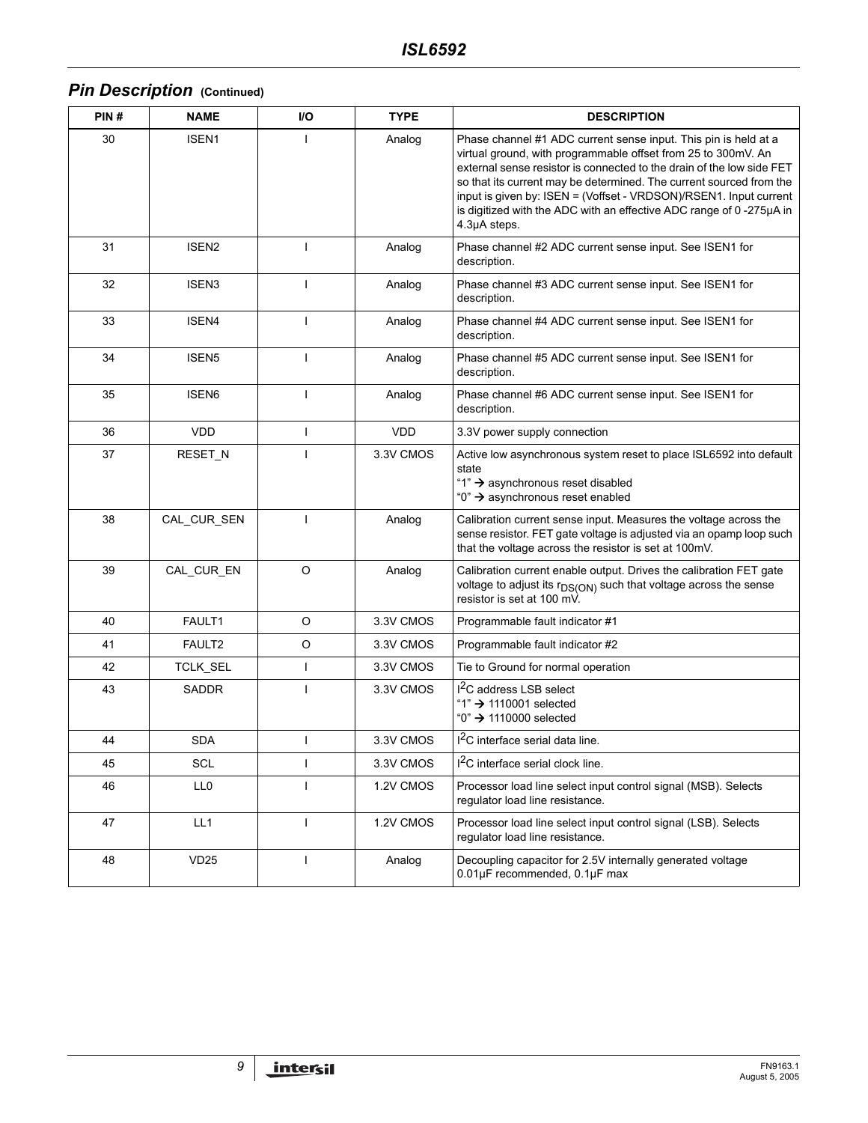# *Pin Description* (Continued)

| PIN# | <b>NAME</b>        | I/O          | <b>TYPE</b> | <b>DESCRIPTION</b>                                                                                                                                                                                                                                                                                                                                                                                                                           |
|------|--------------------|--------------|-------------|----------------------------------------------------------------------------------------------------------------------------------------------------------------------------------------------------------------------------------------------------------------------------------------------------------------------------------------------------------------------------------------------------------------------------------------------|
| 30   | ISEN <sub>1</sub>  | $\mathbf{I}$ | Analog      | Phase channel #1 ADC current sense input. This pin is held at a<br>virtual ground, with programmable offset from 25 to 300mV. An<br>external sense resistor is connected to the drain of the low side FET<br>so that its current may be determined. The current sourced from the<br>input is given by: ISEN = (Voffset - VRDSON)/RSEN1. Input current<br>is digitized with the ADC with an effective ADC range of 0-275µA in<br>4.3µA steps. |
| 31   | ISEN <sub>2</sub>  | $\mathbf{I}$ | Analog      | Phase channel #2 ADC current sense input. See ISEN1 for<br>description.                                                                                                                                                                                                                                                                                                                                                                      |
| 32   | ISEN3              | $\mathbf{I}$ | Analog      | Phase channel #3 ADC current sense input. See ISEN1 for<br>description.                                                                                                                                                                                                                                                                                                                                                                      |
| 33   | ISEN4              | I            | Analog      | Phase channel #4 ADC current sense input. See ISEN1 for<br>description.                                                                                                                                                                                                                                                                                                                                                                      |
| 34   | ISEN <sub>5</sub>  | $\mathbf{I}$ | Analog      | Phase channel #5 ADC current sense input. See ISEN1 for<br>description.                                                                                                                                                                                                                                                                                                                                                                      |
| 35   | ISEN <sub>6</sub>  | T            | Analog      | Phase channel #6 ADC current sense input. See ISEN1 for<br>description.                                                                                                                                                                                                                                                                                                                                                                      |
| 36   | <b>VDD</b>         | I            | <b>VDD</b>  | 3.3V power supply connection                                                                                                                                                                                                                                                                                                                                                                                                                 |
| 37   | RESET_N            | ı            | 3.3V CMOS   | Active low asynchronous system reset to place ISL6592 into default<br>state<br>"1" → asynchronous reset disabled<br>"0" → asynchronous reset enabled                                                                                                                                                                                                                                                                                         |
| 38   | CAL_CUR_SEN        | $\mathbf{I}$ | Analog      | Calibration current sense input. Measures the voltage across the<br>sense resistor. FET gate voltage is adjusted via an opamp loop such<br>that the voltage across the resistor is set at 100mV.                                                                                                                                                                                                                                             |
| 39   | CAL_CUR_EN         | $\circ$      | Analog      | Calibration current enable output. Drives the calibration FET gate<br>voltage to adjust its r <sub>DS(ON)</sub> such that voltage across the sense<br>resistor is set at 100 mV.                                                                                                                                                                                                                                                             |
| 40   | FAULT1             | $\circ$      | 3.3V CMOS   | Programmable fault indicator #1                                                                                                                                                                                                                                                                                                                                                                                                              |
| 41   | FAULT <sub>2</sub> | O            | 3.3V CMOS   | Programmable fault indicator #2                                                                                                                                                                                                                                                                                                                                                                                                              |
| 42   | TCLK_SEL           | $\mathbf{I}$ | 3.3V CMOS   | Tie to Ground for normal operation                                                                                                                                                                                                                                                                                                                                                                                                           |
| 43   | <b>SADDR</b>       | $\mathbf{I}$ | 3.3V CMOS   | I <sup>2</sup> C address LSB select<br>"1" → 1110001 selected<br>"0" → 1110000 selected                                                                                                                                                                                                                                                                                                                                                      |
| 44   | <b>SDA</b>         | $\mathbf{I}$ | 3.3V CMOS   | 1 <sup>2</sup> C interface serial data line.                                                                                                                                                                                                                                                                                                                                                                                                 |
| 45   | SCL                | L            | 3.3V CMOS   | <sup>2</sup> C interface serial clock line.                                                                                                                                                                                                                                                                                                                                                                                                  |
| 46   | LL0                | I            | 1.2V CMOS   | Processor load line select input control signal (MSB). Selects<br>regulator load line resistance.                                                                                                                                                                                                                                                                                                                                            |
| 47   | LL1                | $\mathbf{I}$ | 1.2V CMOS   | Processor load line select input control signal (LSB). Selects<br>requlator load line resistance.                                                                                                                                                                                                                                                                                                                                            |
| 48   | VD <sub>25</sub>   | $\mathbf{I}$ | Analog      | Decoupling capacitor for 2.5V internally generated voltage<br>0.01µF recommended, 0.1µF max                                                                                                                                                                                                                                                                                                                                                  |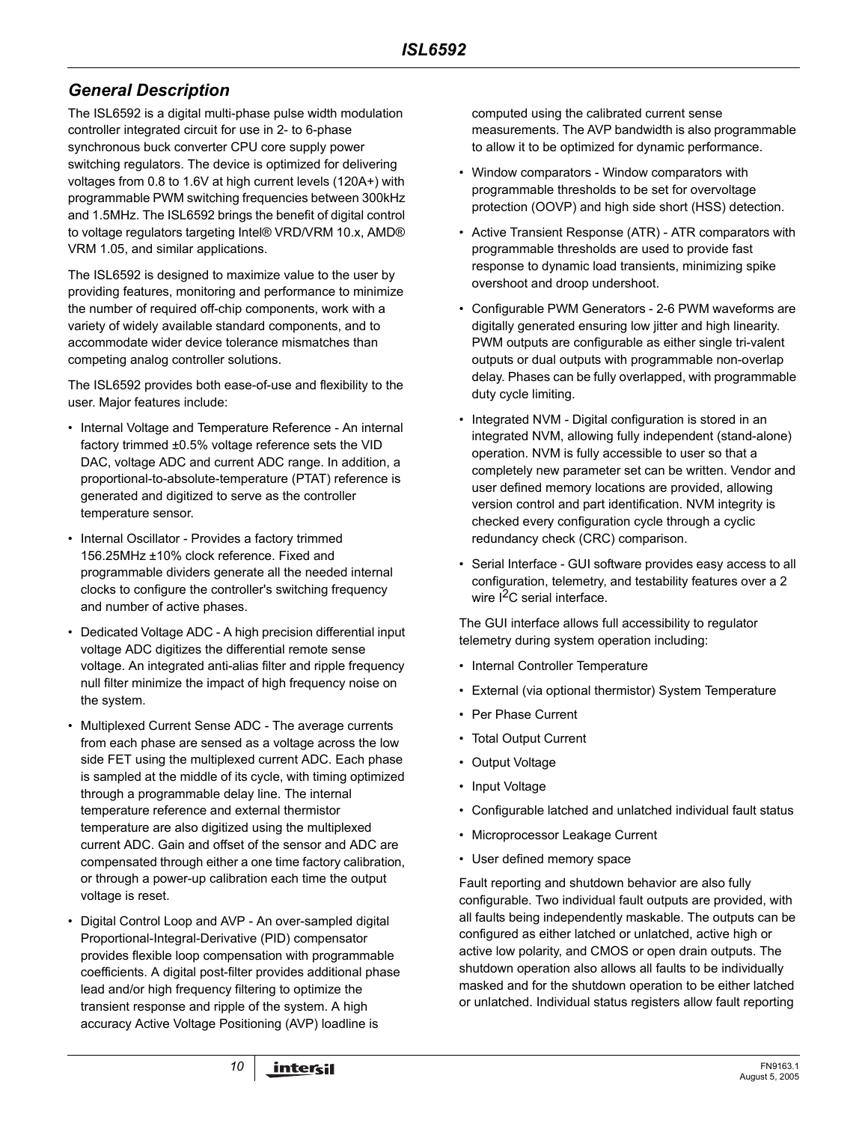## *General Description*

The ISL6592 is a digital multi-phase pulse width modulation controller integrated circuit for use in 2- to 6-phase synchronous buck converter CPU core supply power switching regulators. The device is optimized for delivering voltages from 0.8 to 1.6V at high current levels (120A+) with programmable PWM switching frequencies between 300kHz and 1.5MHz. The ISL6592 brings the benefit of digital control to voltage regulators targeting Intel® VRD/VRM 10.x, AMD® VRM 1.05, and similar applications.

The ISL6592 is designed to maximize value to the user by providing features, monitoring and performance to minimize the number of required off-chip components, work with a variety of widely available standard components, and to accommodate wider device tolerance mismatches than competing analog controller solutions.

The ISL6592 provides both ease-of-use and flexibility to the user. Major features include:

- Internal Voltage and Temperature Reference An internal factory trimmed ±0.5% voltage reference sets the VID DAC, voltage ADC and current ADC range. In addition, a proportional-to-absolute-temperature (PTAT) reference is generated and digitized to serve as the controller temperature sensor.
- Internal Oscillator Provides a factory trimmed 156.25MHz ±10% clock reference. Fixed and programmable dividers generate all the needed internal clocks to configure the controller's switching frequency and number of active phases.
- Dedicated Voltage ADC A high precision differential input voltage ADC digitizes the differential remote sense voltage. An integrated anti-alias filter and ripple frequency null filter minimize the impact of high frequency noise on the system.
- Multiplexed Current Sense ADC The average currents from each phase are sensed as a voltage across the low side FET using the multiplexed current ADC. Each phase is sampled at the middle of its cycle, with timing optimized through a programmable delay line. The internal temperature reference and external thermistor temperature are also digitized using the multiplexed current ADC. Gain and offset of the sensor and ADC are compensated through either a one time factory calibration, or through a power-up calibration each time the output voltage is reset.
- Digital Control Loop and AVP An over-sampled digital Proportional-Integral-Derivative (PID) compensator provides flexible loop compensation with programmable coefficients. A digital post-filter provides additional phase lead and/or high frequency filtering to optimize the transient response and ripple of the system. A high accuracy Active Voltage Positioning (AVP) loadline is

computed using the calibrated current sense measurements. The AVP bandwidth is also programmable to allow it to be optimized for dynamic performance.

- Window comparators Window comparators with programmable thresholds to be set for overvoltage protection (OOVP) and high side short (HSS) detection.
- Active Transient Response (ATR) ATR comparators with programmable thresholds are used to provide fast response to dynamic load transients, minimizing spike overshoot and droop undershoot.
- Configurable PWM Generators 2-6 PWM waveforms are digitally generated ensuring low jitter and high linearity. PWM outputs are configurable as either single tri-valent outputs or dual outputs with programmable non-overlap delay. Phases can be fully overlapped, with programmable duty cycle limiting.
- Integrated NVM Digital configuration is stored in an integrated NVM, allowing fully independent (stand-alone) operation. NVM is fully accessible to user so that a completely new parameter set can be written. Vendor and user defined memory locations are provided, allowing version control and part identification. NVM integrity is checked every configuration cycle through a cyclic redundancy check (CRC) comparison.
- Serial Interface GUI software provides easy access to all configuration, telemetry, and testability features over a 2 wire  $I^2C$  serial interface.

The GUI interface allows full accessibility to regulator telemetry during system operation including:

- Internal Controller Temperature
- External (via optional thermistor) System Temperature
- Per Phase Current
- Total Output Current
- Output Voltage
- Input Voltage
- Configurable latched and unlatched individual fault status
- Microprocessor Leakage Current
- User defined memory space

Fault reporting and shutdown behavior are also fully configurable. Two individual fault outputs are provided, with all faults being independently maskable. The outputs can be configured as either latched or unlatched, active high or active low polarity, and CMOS or open drain outputs. The shutdown operation also allows all faults to be individually masked and for the shutdown operation to be either latched or unlatched. Individual status registers allow fault reporting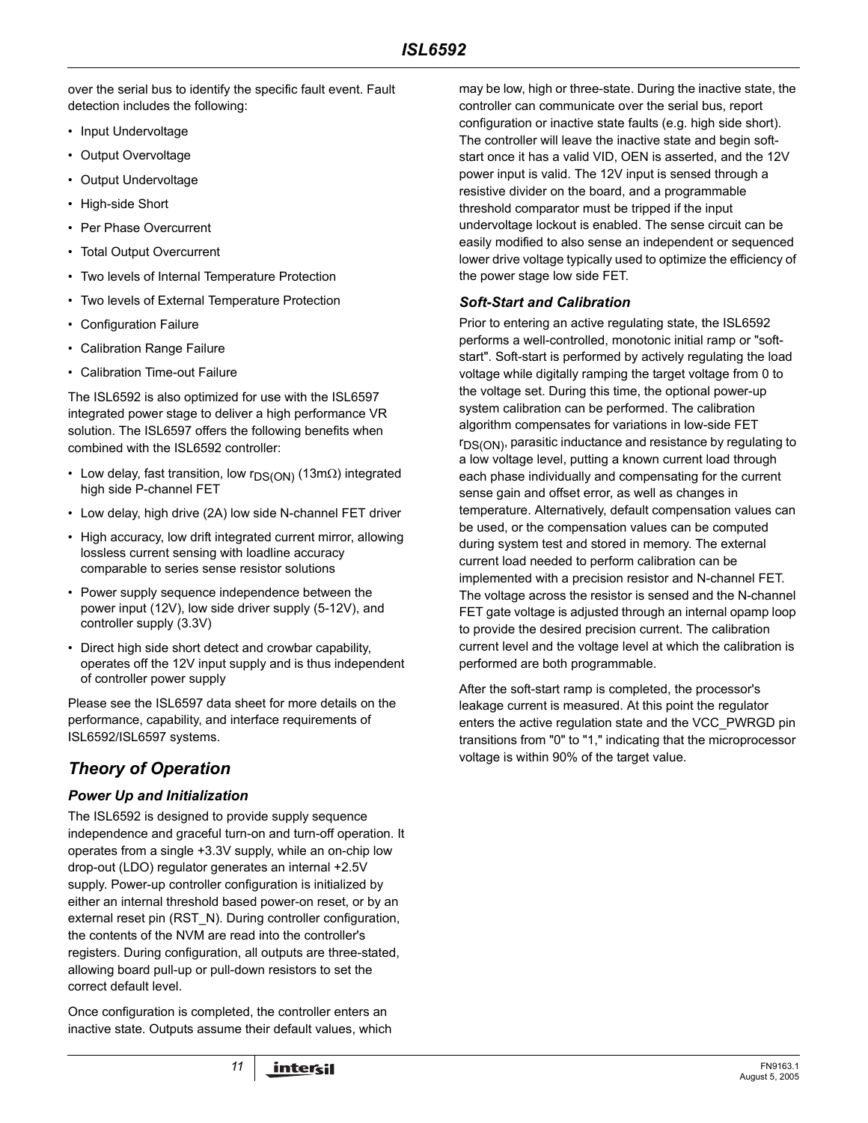over the serial bus to identify the specific fault event. Fault detection includes the following:

- Input Undervoltage
- Output Overvoltage
- Output Undervoltage
- High-side Short
- Per Phase Overcurrent
- Total Output Overcurrent
- Two levels of Internal Temperature Protection
- Two levels of External Temperature Protection
- Configuration Failure
- Calibration Range Failure
- Calibration Time-out Failure

The ISL6592 is also optimized for use with the ISL6597 integrated power stage to deliver a high performance VR solution. The ISL6597 offers the following benefits when combined with the ISL6592 controller:

- Low delay, fast transition, low r<sub>DS(ON)</sub> (13mΩ) integrated high side P-channel FET
- Low delay, high drive (2A) low side N-channel FET driver
- High accuracy, low drift integrated current mirror, allowing lossless current sensing with loadline accuracy comparable to series sense resistor solutions
- Power supply sequence independence between the power input (12V), low side driver supply (5-12V), and controller supply (3.3V)
- Direct high side short detect and crowbar capability, operates off the 12V input supply and is thus independent of controller power supply

Please see the ISL6597 data sheet for more details on the performance, capability, and interface requirements of ISL6592/ISL6597 systems.

## *Theory of Operation*

#### *Power Up and Initialization*

The ISL6592 is designed to provide supply sequence independence and graceful turn-on and turn-off operation. It operates from a single +3.3V supply, while an on-chip low drop-out (LDO) regulator generates an internal +2.5V supply. Power-up controller configuration is initialized by either an internal threshold based power-on reset, or by an external reset pin (RST\_N). During controller configuration, the contents of the NVM are read into the controller's registers. During configuration, all outputs are three-stated, allowing board pull-up or pull-down resistors to set the correct default level.

Once configuration is completed, the controller enters an inactive state. Outputs assume their default values, which may be low, high or three-state. During the inactive state, the controller can communicate over the serial bus, report configuration or inactive state faults (e.g. high side short). The controller will leave the inactive state and begin softstart once it has a valid VID, OEN is asserted, and the 12V power input is valid. The 12V input is sensed through a resistive divider on the board, and a programmable threshold comparator must be tripped if the input undervoltage lockout is enabled. The sense circuit can be easily modified to also sense an independent or sequenced lower drive voltage typically used to optimize the efficiency of the power stage low side FET.

#### *Soft-Start and Calibration*

Prior to entering an active regulating state, the ISL6592 performs a well-controlled, monotonic initial ramp or "softstart". Soft-start is performed by actively regulating the load voltage while digitally ramping the target voltage from 0 to the voltage set. During this time, the optional power-up system calibration can be performed. The calibration algorithm compensates for variations in low-side FET r<sub>DS(ON)</sub>, parasitic inductance and resistance by regulating to a low voltage level, putting a known current load through each phase individually and compensating for the current sense gain and offset error, as well as changes in temperature. Alternatively, default compensation values can be used, or the compensation values can be computed during system test and stored in memory. The external current load needed to perform calibration can be implemented with a precision resistor and N-channel FET. The voltage across the resistor is sensed and the N-channel FET gate voltage is adjusted through an internal opamp loop to provide the desired precision current. The calibration current level and the voltage level at which the calibration is performed are both programmable.

After the soft-start ramp is completed, the processor's leakage current is measured. At this point the regulator enters the active regulation state and the VCC\_PWRGD pin transitions from "0" to "1," indicating that the microprocessor voltage is within 90% of the target value.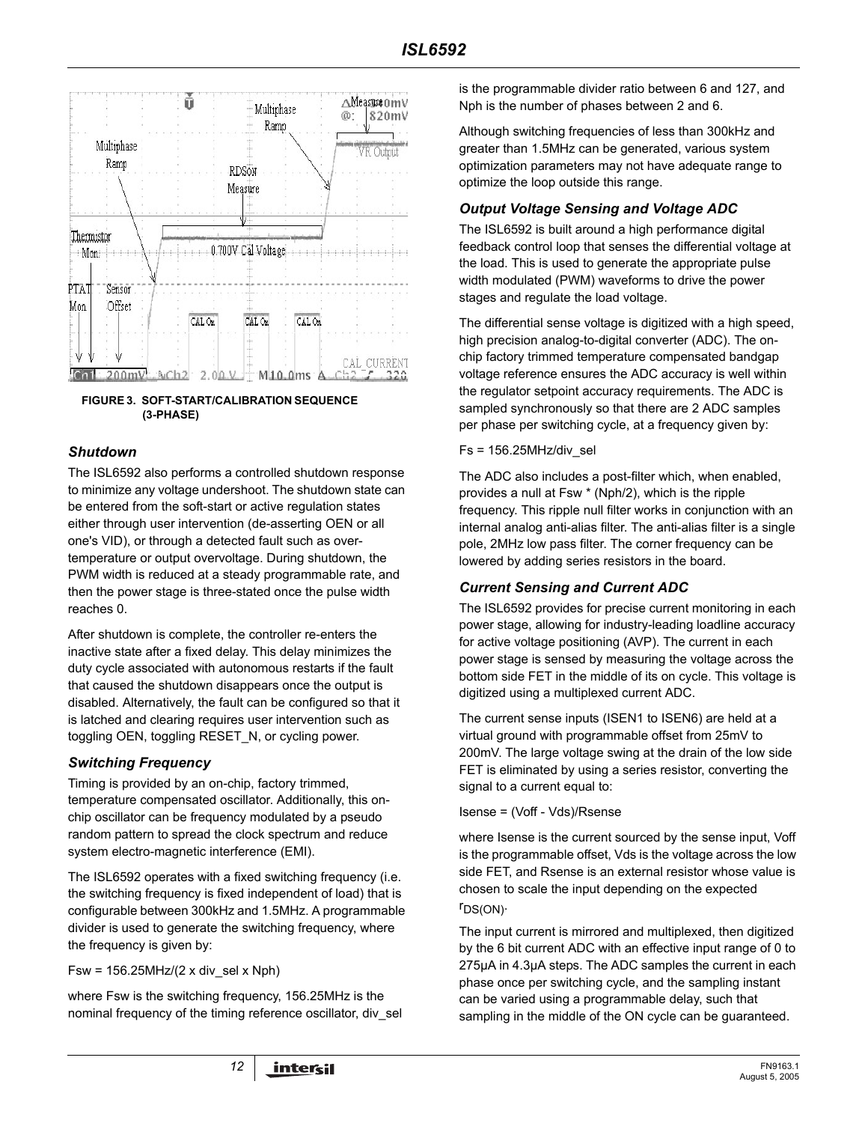

#### **FIGURE 3. SOFT-START/CALIBRATION SEQUENCE (3-PHASE)**

#### *Shutdown*

The ISL6592 also performs a controlled shutdown response to minimize any voltage undershoot. The shutdown state can be entered from the soft-start or active regulation states either through user intervention (de-asserting OEN or all one's VID), or through a detected fault such as overtemperature or output overvoltage. During shutdown, the PWM width is reduced at a steady programmable rate, and then the power stage is three-stated once the pulse width reaches 0.

After shutdown is complete, the controller re-enters the inactive state after a fixed delay. This delay minimizes the duty cycle associated with autonomous restarts if the fault that caused the shutdown disappears once the output is disabled. Alternatively, the fault can be configured so that it is latched and clearing requires user intervention such as toggling OEN, toggling RESET\_N, or cycling power.

#### *Switching Frequency*

Timing is provided by an on-chip, factory trimmed, temperature compensated oscillator. Additionally, this onchip oscillator can be frequency modulated by a pseudo random pattern to spread the clock spectrum and reduce system electro-magnetic interference (EMI).

The ISL6592 operates with a fixed switching frequency (i.e. the switching frequency is fixed independent of load) that is configurable between 300kHz and 1.5MHz. A programmable divider is used to generate the switching frequency, where the frequency is given by:

Fsw = 156.25MHz/(2 x div\_sel x Nph)

where Fsw is the switching frequency, 156.25MHz is the nominal frequency of the timing reference oscillator, div\_sel is the programmable divider ratio between 6 and 127, and Nph is the number of phases between 2 and 6.

Although switching frequencies of less than 300kHz and greater than 1.5MHz can be generated, various system optimization parameters may not have adequate range to optimize the loop outside this range.

#### *Output Voltage Sensing and Voltage ADC*

The ISL6592 is built around a high performance digital feedback control loop that senses the differential voltage at the load. This is used to generate the appropriate pulse width modulated (PWM) waveforms to drive the power stages and regulate the load voltage.

The differential sense voltage is digitized with a high speed, high precision analog-to-digital converter (ADC). The onchip factory trimmed temperature compensated bandgap voltage reference ensures the ADC accuracy is well within the regulator setpoint accuracy requirements. The ADC is sampled synchronously so that there are 2 ADC samples per phase per switching cycle, at a frequency given by:

#### $Fs = 156.25MHz/div$  sel

The ADC also includes a post-filter which, when enabled, provides a null at Fsw \* (Nph/2), which is the ripple frequency. This ripple null filter works in conjunction with an internal analog anti-alias filter. The anti-alias filter is a single pole, 2MHz low pass filter. The corner frequency can be lowered by adding series resistors in the board.

#### *Current Sensing and Current ADC*

The ISL6592 provides for precise current monitoring in each power stage, allowing for industry-leading loadline accuracy for active voltage positioning (AVP). The current in each power stage is sensed by measuring the voltage across the bottom side FET in the middle of its on cycle. This voltage is digitized using a multiplexed current ADC.

The current sense inputs (ISEN1 to ISEN6) are held at a virtual ground with programmable offset from 25mV to 200mV. The large voltage swing at the drain of the low side FET is eliminated by using a series resistor, converting the signal to a current equal to:

Isense = (Voff - Vds)/Rsense

where Isense is the current sourced by the sense input, Voff is the programmable offset, Vds is the voltage across the low side FET, and Rsense is an external resistor whose value is chosen to scale the input depending on the expected rDS(ON).

The input current is mirrored and multiplexed, then digitized by the 6 bit current ADC with an effective input range of 0 to 275µA in 4.3µA steps. The ADC samples the current in each phase once per switching cycle, and the sampling instant can be varied using a programmable delay, such that sampling in the middle of the ON cycle can be guaranteed.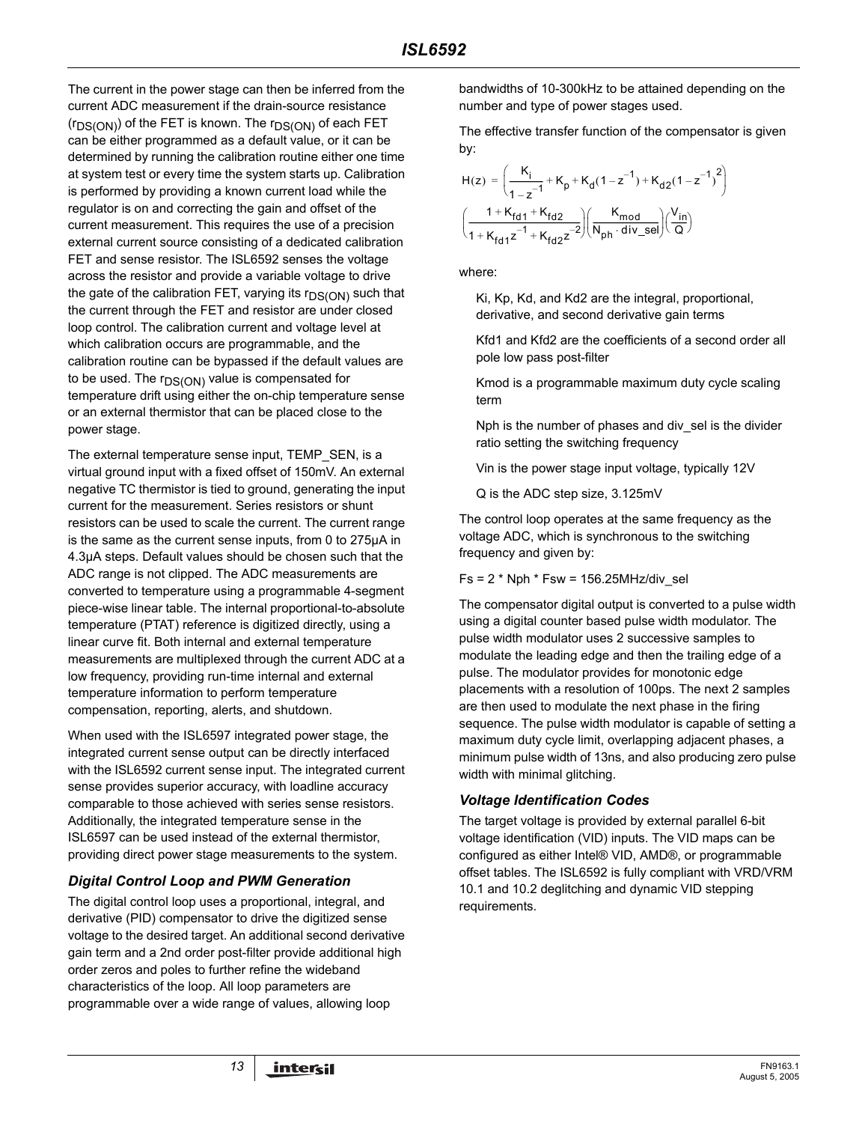The current in the power stage can then be inferred from the current ADC measurement if the drain-source resistance  $(r_{DS(ON)})$  of the FET is known. The  $r_{DS(ON)}$  of each FET can be either programmed as a default value, or it can be determined by running the calibration routine either one time at system test or every time the system starts up. Calibration is performed by providing a known current load while the regulator is on and correcting the gain and offset of the current measurement. This requires the use of a precision external current source consisting of a dedicated calibration FET and sense resistor. The ISL6592 senses the voltage across the resistor and provide a variable voltage to drive the gate of the calibration FET, varying its  $r_{DS(ON)}$  such that the current through the FET and resistor are under closed loop control. The calibration current and voltage level at which calibration occurs are programmable, and the calibration routine can be bypassed if the default values are to be used. The  $r_{DS(ON)}$  value is compensated for temperature drift using either the on-chip temperature sense or an external thermistor that can be placed close to the power stage.

The external temperature sense input, TEMP\_SEN, is a virtual ground input with a fixed offset of 150mV. An external negative TC thermistor is tied to ground, generating the input current for the measurement. Series resistors or shunt resistors can be used to scale the current. The current range is the same as the current sense inputs, from 0 to 275µA in 4.3µA steps. Default values should be chosen such that the ADC range is not clipped. The ADC measurements are converted to temperature using a programmable 4-segment piece-wise linear table. The internal proportional-to-absolute temperature (PTAT) reference is digitized directly, using a linear curve fit. Both internal and external temperature measurements are multiplexed through the current ADC at a low frequency, providing run-time internal and external temperature information to perform temperature compensation, reporting, alerts, and shutdown.

When used with the ISL6597 integrated power stage, the integrated current sense output can be directly interfaced with the ISL6592 current sense input. The integrated current sense provides superior accuracy, with loadline accuracy comparable to those achieved with series sense resistors. Additionally, the integrated temperature sense in the ISL6597 can be used instead of the external thermistor, providing direct power stage measurements to the system.

#### *Digital Control Loop and PWM Generation*

The digital control loop uses a proportional, integral, and derivative (PID) compensator to drive the digitized sense voltage to the desired target. An additional second derivative gain term and a 2nd order post-filter provide additional high order zeros and poles to further refine the wideband characteristics of the loop. All loop parameters are programmable over a wide range of values, allowing loop

bandwidths of 10-300kHz to be attained depending on the number and type of power stages used.

The effective transfer function of the compensator is given by:

$$
H(z) = \left(\frac{K_i}{1 - z^{-1}} + K_p + K_d(1 - z^{-1}) + K_{d2}(1 - z^{-1})^2\right)
$$

$$
\left(\frac{1 + K_{fd1} + K_{fd2}}{1 + K_{fd1}z^{-1} + K_{fd2}z^{-2}}\right) \left(\frac{K_{mod}}{N_{ph} \cdot div\_sel}\right) \left(\frac{V_{in}}{Q}\right)
$$

where:

Ki, Kp, Kd, and Kd2 are the integral, proportional, derivative, and second derivative gain terms

Kfd1 and Kfd2 are the coefficients of a second order all pole low pass post-filter

Kmod is a programmable maximum duty cycle scaling term

Nph is the number of phases and div sel is the divider ratio setting the switching frequency

Vin is the power stage input voltage, typically 12V

Q is the ADC step size, 3.125mV

The control loop operates at the same frequency as the voltage ADC, which is synchronous to the switching frequency and given by:

 $Fs = 2 * Nph * Fsw = 156.25 MHz/div$  sel

The compensator digital output is converted to a pulse width using a digital counter based pulse width modulator. The pulse width modulator uses 2 successive samples to modulate the leading edge and then the trailing edge of a pulse. The modulator provides for monotonic edge placements with a resolution of 100ps. The next 2 samples are then used to modulate the next phase in the firing sequence. The pulse width modulator is capable of setting a maximum duty cycle limit, overlapping adjacent phases, a minimum pulse width of 13ns, and also producing zero pulse width with minimal glitching.

## *Voltage Identification Codes*

The target voltage is provided by external parallel 6-bit voltage identification (VID) inputs. The VID maps can be configured as either Intel® VID, AMD®, or programmable offset tables. The ISL6592 is fully compliant with VRD/VRM 10.1 and 10.2 deglitching and dynamic VID stepping requirements.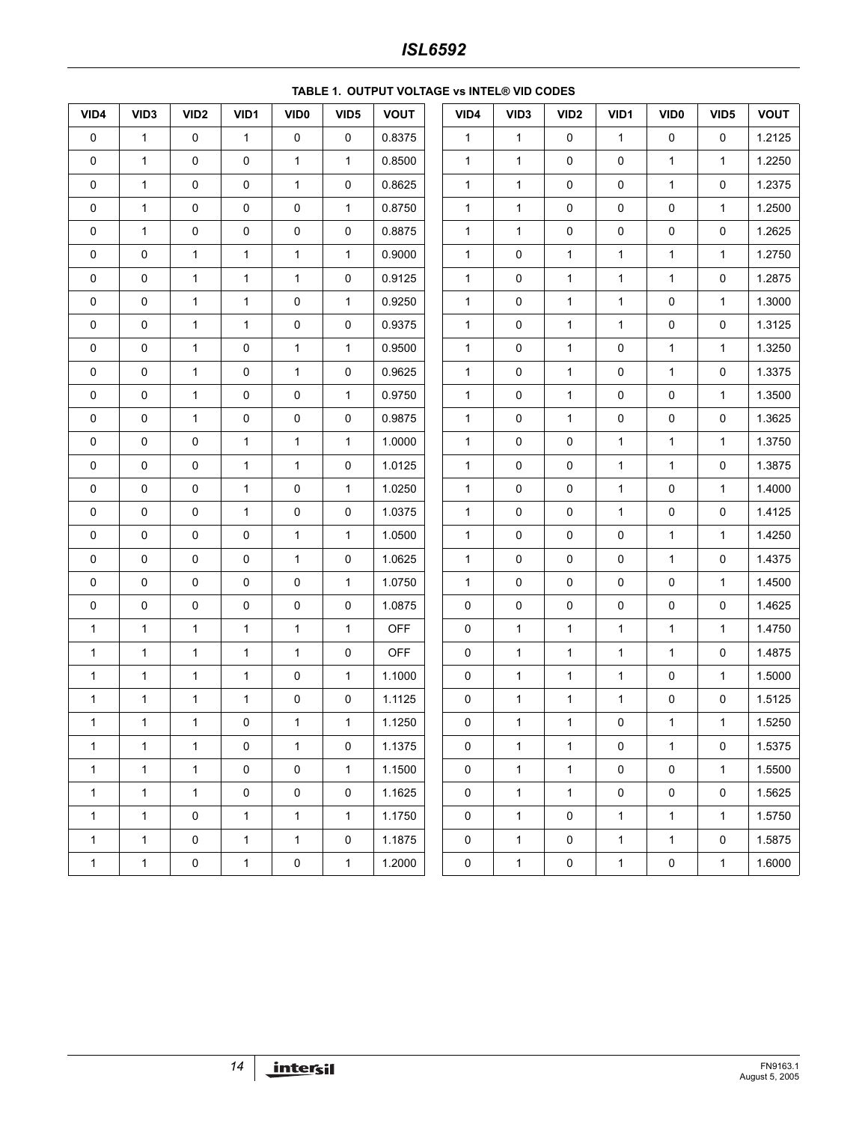# *ISL6592*

| VID4         | VID <sub>3</sub>    | VID <sub>2</sub> | VID1         | VID <sub>0</sub> | VID <sub>5</sub>    | <b>VOUT</b> | VID4         | VID <sub>3</sub> | VID <sub>2</sub>    | VID1         | VID <sub>0</sub> | VID <sub>5</sub> | <b>VOUT</b> |
|--------------|---------------------|------------------|--------------|------------------|---------------------|-------------|--------------|------------------|---------------------|--------------|------------------|------------------|-------------|
| $\pmb{0}$    | $\mathbf{1}$        | $\pmb{0}$        | $\mathbf{1}$ | $\pmb{0}$        | $\pmb{0}$           | 0.8375      | $\mathbf{1}$ | $\mathbf{1}$     | $\mathsf 0$         | $\mathbf{1}$ | $\mathsf 0$      | $\pmb{0}$        | 1.2125      |
| 0            | $\mathbf{1}$        | 0                | 0            | $\mathbf{1}$     | $\mathbf{1}$        | 0.8500      | $\mathbf{1}$ | $\mathbf{1}$     | 0                   | $\mathsf 0$  | $\mathbf{1}$     | 1                | 1.2250      |
| 0            | $\mathbf{1}$        | 0                | 0            | $\mathbf{1}$     | 0                   | 0.8625      | $\mathbf{1}$ | $\mathbf{1}$     | 0                   | 0            | $\mathbf{1}$     | 0                | 1.2375      |
| 0            | $\mathbf{1}$        | 0                | 0            | $\pmb{0}$        | $\mathbf{1}$        | 0.8750      | $\mathbf{1}$ | $\mathbf{1}$     | $\mathsf 0$         | 0            | 0                | $\mathbf{1}$     | 1.2500      |
| 0            | $\mathbf{1}$        | 0                | 0            | $\pmb{0}$        | 0                   | 0.8875      | $\mathbf{1}$ | $\mathbf{1}$     | 0                   | 0            | $\mathsf 0$      | $\pmb{0}$        | 1.2625      |
| 0            | $\pmb{0}$           | $\mathbf{1}$     | $\mathbf{1}$ | $\mathbf{1}$     | $\mathbf{1}$        | 0.9000      | $\mathbf{1}$ | 0                | $\mathbf{1}$        | $\mathbf{1}$ | $\mathbf{1}$     | 1                | 1.2750      |
| $\pmb{0}$    | $\pmb{0}$           | $\mathbf{1}$     | $\mathbf 1$  | $\mathbf{1}$     | $\pmb{0}$           | 0.9125      | $\mathbf{1}$ | $\pmb{0}$        | $\mathbf{1}$        | $\mathbf 1$  | $\mathbf 1$      | $\pmb{0}$        | 1.2875      |
| 0            | $\pmb{0}$           | $\mathbf{1}$     | $\mathbf{1}$ | $\pmb{0}$        | $\mathbf{1}$        | 0.9250      | $\mathbf{1}$ | $\pmb{0}$        | 1                   | $\mathbf 1$  | 0                | $\mathbf{1}$     | 1.3000      |
| $\pmb{0}$    | $\pmb{0}$           | $\mathbf{1}$     | $\mathbf{1}$ | $\pmb{0}$        | $\pmb{0}$           | 0.9375      | $\mathbf{1}$ | $\pmb{0}$        | 1                   | $\mathbf{1}$ | $\mathsf 0$      | $\pmb{0}$        | 1.3125      |
| 0            | $\pmb{0}$           | $\mathbf{1}$     | 0            | $\mathbf{1}$     | $\mathbf{1}$        | 0.9500      | $\mathbf{1}$ | $\pmb{0}$        | 1                   | 0            | $\mathbf 1$      | 1                | 1.3250      |
| $\pmb{0}$    | $\pmb{0}$           | $\mathbf{1}$     | 0            | $\mathbf{1}$     | $\mathsf{O}\xspace$ | 0.9625      | $\mathbf{1}$ | $\pmb{0}$        | $\mathbf{1}$        | $\pmb{0}$    | $\mathbf{1}$     | 0                | 1.3375      |
| 0            | $\pmb{0}$           | $\mathbf{1}$     | 0            | $\pmb{0}$        | $\mathbf{1}$        | 0.9750      | $\mathbf{1}$ | $\pmb{0}$        | $\mathbf{1}$        | $\pmb{0}$    | 0                | $\mathbf{1}$     | 1.3500      |
| $\pmb{0}$    | $\pmb{0}$           | $\mathbf{1}$     | 0            | $\pmb{0}$        | 0                   | 0.9875      | $\mathbf{1}$ | $\pmb{0}$        | 1                   | 0            | $\mathsf 0$      | $\pmb{0}$        | 1.3625      |
| 0            | $\pmb{0}$           | 0                | $\mathbf{1}$ | $\mathbf{1}$     | $\mathbf{1}$        | 1.0000      | $\mathbf{1}$ | 0                | 0                   | $\mathbf{1}$ | $\mathbf{1}$     | 1                | 1.3750      |
| 0            | $\pmb{0}$           | 0                | $\mathbf 1$  | $\mathbf{1}$     | 0                   | 1.0125      | $\mathbf{1}$ | $\pmb{0}$        | 0                   | $\mathbf 1$  | $\mathbf{1}$     | $\pmb{0}$        | 1.3875      |
| 0            | $\pmb{0}$           | 0                | $\mathbf{1}$ | $\pmb{0}$        | $\mathbf{1}$        | 1.0250      | $\mathbf{1}$ | 0                | $\mathsf{O}\xspace$ | $\mathbf{1}$ | 0                | $\mathbf{1}$     | 1.4000      |
| $\pmb{0}$    | $\pmb{0}$           | 0                | $\mathbf 1$  | $\pmb{0}$        | $\pmb{0}$           | 1.0375      | $\mathbf{1}$ | $\pmb{0}$        | 0                   | $\mathbf{1}$ | $\mathsf 0$      | $\pmb{0}$        | 1.4125      |
| 0            | 0                   | $\pmb{0}$        | 0            | $\mathbf{1}$     | $\mathbf{1}$        | 1.0500      | $\mathbf{1}$ | 0                | 0                   | 0            | $\mathbf{1}$     | 1                | 1.4250      |
| $\pmb{0}$    | $\mathsf{O}\xspace$ | 0                | 0            | $\mathbf{1}$     | 0                   | 1.0625      | $\mathbf{1}$ | $\pmb{0}$        | 0                   | 0            | $\mathbf{1}$     | 0                | 1.4375      |
| 0            | $\pmb{0}$           | 0                | 0            | $\pmb{0}$        | $\mathbf{1}$        | 1.0750      | $\mathbf{1}$ | $\pmb{0}$        | $\mathsf{O}\xspace$ | 0            | 0                | $\mathbf{1}$     | 1.4500      |
| 0            | $\pmb{0}$           | $\pmb{0}$        | 0            | $\pmb{0}$        | $\pmb{0}$           | 1.0875      | 0            | $\pmb{0}$        | 0                   | 0            | $\mathsf 0$      | $\pmb{0}$        | 1.4625      |
| $\mathbf{1}$ | $\mathbf{1}$        | $\mathbf{1}$     | $\mathbf{1}$ | $\mathbf{1}$     | $\mathbf{1}$        | <b>OFF</b>  | 0            | 1                | $\mathbf{1}$        | $\mathbf{1}$ | $\mathbf{1}$     | 1                | 1.4750      |
| $\mathbf{1}$ | $\mathbf{1}$        | $\mathbf{1}$     | $\mathbf{1}$ | $\mathbf{1}$     | 0                   | <b>OFF</b>  | 0            | $\mathbf{1}$     | $\mathbf{1}$        | $\mathbf 1$  | $\mathbf{1}$     | $\pmb{0}$        | 1.4875      |
| 1            | $\mathbf{1}$        | $\mathbf{1}$     | $\mathbf{1}$ | $\pmb{0}$        | $\mathbf{1}$        | 1.1000      | 0            | $\mathbf{1}$     | $\mathbf{1}$        | $\mathbf 1$  | 0                | $\mathbf{1}$     | 1.5000      |
| $\mathbf{1}$ | $\mathbf{1}$        | $\mathbf{1}$     | $\mathbf{1}$ | $\pmb{0}$        | 0                   | 1.1125      | 0            | $\mathbf{1}$     | $\mathbf{1}$        | $\mathbf{1}$ | $\pmb{0}$        | $\pmb{0}$        | 1.5125      |
| $\mathbf{1}$ | $\mathbf{1}$        | $\mathbf{1}$     | 0            | $\mathbf{1}$     | $\mathbf{1}$        | 1.1250      | 0            | $\mathbf{1}$     | 1                   | $\pmb{0}$    | $\mathbf{1}$     | 1                | 1.5250      |
| 1            | $\mathbf{1}$        | $\mathbf{1}$     | 0            | 1                | 0                   | 1.1375      | 0            | $\mathbf{1}$     | $\mathbf{1}$        | 0            | $\mathbf{1}$     | 0                | 1.5375      |
| $\mathbf{1}$ | $\mathbf{1}$        | $\mathbf{1}$     | 0            | $\pmb{0}$        | $\mathbf{1}$        | 1.1500      | $\pmb{0}$    | $\mathbf{1}$     | $\mathbf{1}$        | $\mathsf 0$  | 0                | $\mathbf{1}$     | 1.5500      |
| $\mathbf{1}$ | $\mathbf{1}$        | $\mathbf{1}$     | 0            | $\pmb{0}$        | $\mathsf{O}$        | 1.1625      | $\mathbf 0$  | $\mathbf{1}$     | $\mathbf{1}$        | 0            | 0                | 0                | 1.5625      |
| $\mathbf{1}$ | $\mathbf{1}$        | 0                | $\mathbf{1}$ | $\mathbf{1}$     | 1                   | 1.1750      | 0            | $\mathbf{1}$     | 0                   | $\mathbf{1}$ | $\mathbf{1}$     | $\mathbf{1}$     | 1.5750      |
| $\mathbf{1}$ | $\mathbf{1}$        | $\mathsf 0$      | $\mathbf{1}$ | $\mathbf{1}$     | $\mathsf{O}$        | 1.1875      | $\mathbf 0$  | $\mathbf{1}$     | 0                   | $\mathbf{1}$ | $\mathbf{1}$     | $\mathbf 0$      | 1.5875      |
| $\mathbf{1}$ | $\mathbf{1}$        | 0                | $\mathbf{1}$ | $\pmb{0}$        | $\mathbf{1}$        | 1.2000      | 0            | $\mathbf{1}$     | 0                   | $\mathbf{1}$ | 0                | $\mathbf{1}$     | 1.6000      |

#### **TABLE 1. OUTPUT VOLTAGE vs INTEL® VID CODES**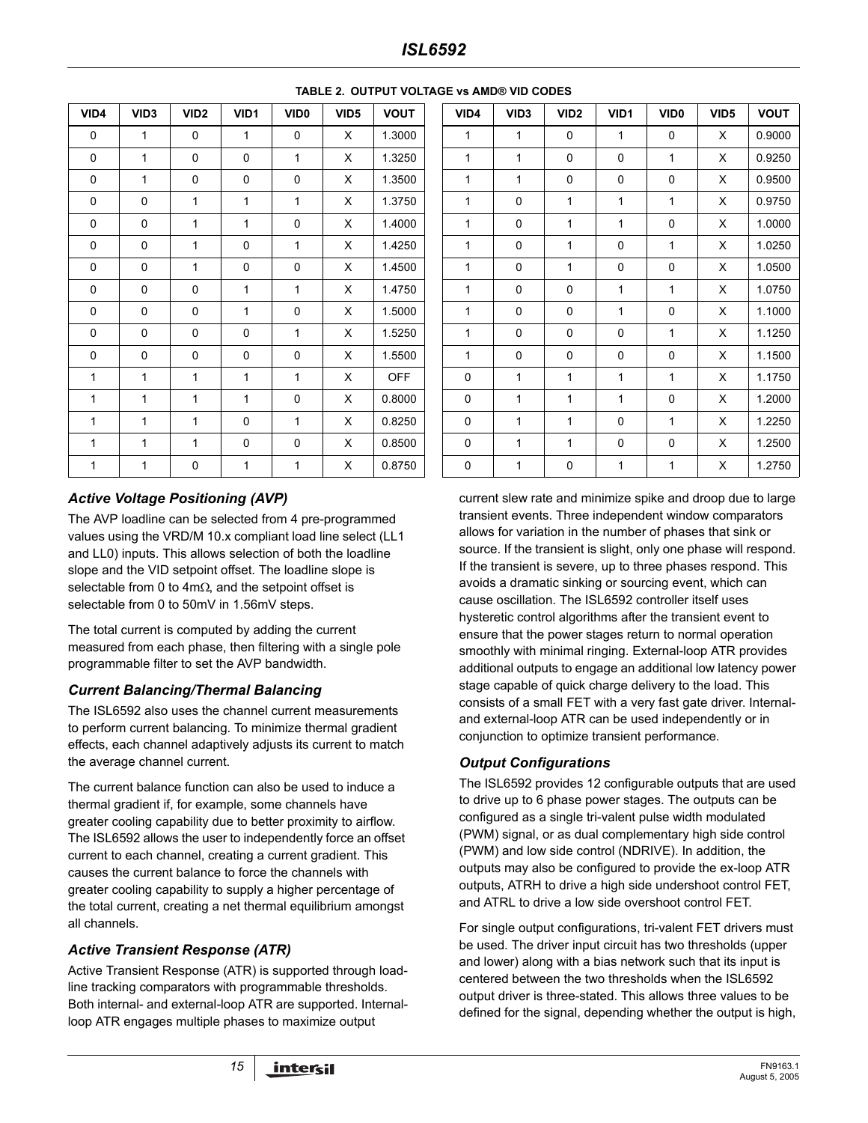| VID4 | VID <sub>3</sub> | VID <sub>2</sub> | VID1           | VID <sub>0</sub> | VID <sub>5</sub> | <b>VOUT</b> |
|------|------------------|------------------|----------------|------------------|------------------|-------------|
| 0    | 1                | 0                | $\mathbf{1}$   | 0                | X                | 1.3000      |
| 0    | 1                | 0                | $\mathbf 0$    | 1                | X                | 1.3250      |
| 0    | 1                | 0                | 0              | 0                | X                | 1.3500      |
| 0    | 0                | 1                | $\mathbf{1}$   | $\mathbf{1}$     | X                | 1.3750      |
| 0    | 0                | 1                | $\mathbf{1}$   | 0                | X                | 1.4000      |
| 0    | 0                | 1                | 0              | $\mathbf{1}$     | X                | 1.4250      |
| 0    | 0                | 1                | 0              | 0                | X                | 1.4500      |
| 0    | 0                | 0                | $\mathbf{1}$   | $\mathbf{1}$     | X                | 1.4750      |
| 0    | 0                | 0                | $\mathbf{1}$   | 0                | X                | 1.5000      |
| 0    | 0                | 0                | 0              | 1                | X                | 1.5250      |
| 0    | 0                | 0                | 0              | 0                | X                | 1.5500      |
| 1    | 1                | 1                | $\overline{1}$ | 1                | X                | <b>OFF</b>  |
| 1    | 1                | 1                | $\mathbf{1}$   | 0                | X                | 0.8000      |
| 1    | 1                | 1                | 0              | 1                | X                | 0.8250      |
| 1    | 1                | 1                | 0              | 0                | X                | 0.8500      |
| 1    | 1                | 0                | $\mathbf{1}$   | 1                | X                | 0.8750      |

#### **TABLE 2. OUTPUT VOLTAGE vs AMD® VID CODES**

#### *Active Voltage Positioning (AVP)*

The AVP loadline can be selected from 4 pre-programmed values using the VRD/M 10.x compliant load line select (LL1 and LL0) inputs. This allows selection of both the loadline slope and the VID setpoint offset. The loadline slope is selectable from 0 to  $4m\Omega$ , and the setpoint offset is selectable from 0 to 50mV in 1.56mV steps.

The total current is computed by adding the current measured from each phase, then filtering with a single pole programmable filter to set the AVP bandwidth.

#### *Current Balancing/Thermal Balancing*

The ISL6592 also uses the channel current measurements to perform current balancing. To minimize thermal gradient effects, each channel adaptively adjusts its current to match the average channel current.

The current balance function can also be used to induce a thermal gradient if, for example, some channels have greater cooling capability due to better proximity to airflow. The ISL6592 allows the user to independently force an offset current to each channel, creating a current gradient. This causes the current balance to force the channels with greater cooling capability to supply a higher percentage of the total current, creating a net thermal equilibrium amongst all channels.

#### *Active Transient Response (ATR)*

Active Transient Response (ATR) is supported through loadline tracking comparators with programmable thresholds. Both internal- and external-loop ATR are supported. Internalloop ATR engages multiple phases to maximize output

| VID4         | VID <sub>3</sub> | VID <sub>2</sub> | VID1         | VID <sub>0</sub> | VID <sub>5</sub> | <b>VOUT</b> | VID4         | VID <sub>3</sub> | VID <sub>2</sub> | VID1         | VID <sub>0</sub> | VID <sub>5</sub> |
|--------------|------------------|------------------|--------------|------------------|------------------|-------------|--------------|------------------|------------------|--------------|------------------|------------------|
| $\mathbf 0$  | $\mathbf{1}$     | $\mathbf{0}$     | $\mathbf{1}$ | $\mathbf 0$      | X                | 1.3000      | $\mathbf{1}$ | $\mathbf{1}$     | $\mathbf 0$      | $\mathbf{1}$ | $\mathbf 0$      | X                |
| 0            | $\mathbf{1}$     | $\mathbf 0$      | $\Omega$     | $\mathbf{1}$     | X                | 1.3250      | $\mathbf{1}$ | $\mathbf{1}$     | $\mathbf 0$      | 0            | $\mathbf{1}$     | X                |
| 0            | $\mathbf{1}$     | $\mathbf 0$      | $\Omega$     | 0                | X                | 1.3500      | 1            | 1                | $\mathbf 0$      | 0            | 0                | X                |
| $\mathbf 0$  | 0                | $\mathbf{1}$     | 1            | 1                | X                | 1.3750      | 1            | $\mathbf 0$      | $\mathbf{1}$     | 1            | 1                | X                |
| 0            | $\mathbf 0$      | $\mathbf{1}$     | $\mathbf{1}$ | $\mathbf 0$      | X                | 1.4000      | $\mathbf{1}$ | 0                | $\mathbf{1}$     | $\mathbf{1}$ | 0                | X                |
| 0            | 0                | $\mathbf{1}$     | 0            | 1                | X                | 1.4250      | 1            | 0                | $\mathbf{1}$     | 0            | 1                | X                |
| 0            | $\mathbf 0$      | 1                | $\mathbf 0$  | $\mathbf 0$      | $\times$         | 1.4500      | 1            | 0                | $\mathbf{1}$     | 0            | 0                | $\times$         |
| 0            | 0                | $\mathbf 0$      | $\mathbf{1}$ | $\mathbf{1}$     | X                | 1.4750      | 1            | 0                | $\mathbf 0$      | $\mathbf{1}$ | $\mathbf{1}$     | X                |
| 0            | 0                | 0                | $\mathbf{1}$ | 0                | X                | 1.5000      | $\mathbf{1}$ | 0                | $\mathbf 0$      | $\mathbf{1}$ | $\mathbf 0$      | X                |
| 0            | 0                | 0                | $\Omega$     | 1                | X                | 1.5250      | 1            | 0                | 0                | 0            | $\mathbf{1}$     | X                |
| 0            | 0                | $\mathbf 0$      | 0            | $\mathbf 0$      | $\times$         | 1.5500      | 1            | $\mathbf 0$      | $\mathbf 0$      | 0            | 0                | X                |
| 1            | $\mathbf{1}$     | $\mathbf{1}$     | $\mathbf{1}$ | $\mathbf{1}$     | X                | <b>OFF</b>  | 0            | 1                | $\mathbf{1}$     | $\mathbf{1}$ | $\mathbf{1}$     | $\times$         |
| 1            | $\mathbf{1}$     | $\mathbf{1}$     | 1            | $\mathbf 0$      | $\times$         | 0.8000      | 0            | 1                | 1                | 1            | 0                | X                |
| $\mathbf{1}$ | 1                | $\mathbf{1}$     | 0            | 1                | X                | 0.8250      | 0            | 1                | 1                | 0            | $\mathbf{1}$     | X                |
| 1            | 1                | $\mathbf{1}$     | $\mathbf 0$  | 0                | X                | 0.8500      | 0            | 1                | 1                | 0            | 0                | X                |
| 1            | 1                | $\mathbf 0$      | 1            | $\mathbf{1}$     | X                | 0.8750      | 0            | 1                | 0                | $\mathbf{1}$ | 1                | X                |

current slew rate and minimize spike and droop due to large transient events. Three independent window comparators allows for variation in the number of phases that sink or source. If the transient is slight, only one phase will respond. If the transient is severe, up to three phases respond. This avoids a dramatic sinking or sourcing event, which can cause oscillation. The ISL6592 controller itself uses hysteretic control algorithms after the transient event to ensure that the power stages return to normal operation smoothly with minimal ringing. External-loop ATR provides additional outputs to engage an additional low latency power stage capable of quick charge delivery to the load. This consists of a small FET with a very fast gate driver. Internaland external-loop ATR can be used independently or in conjunction to optimize transient performance.

#### *Output Configurations*

The ISL6592 provides 12 configurable outputs that are used to drive up to 6 phase power stages. The outputs can be configured as a single tri-valent pulse width modulated (PWM) signal, or as dual complementary high side control (PWM) and low side control (NDRIVE). In addition, the outputs may also be configured to provide the ex-loop ATR outputs, ATRH to drive a high side undershoot control FET, and ATRL to drive a low side overshoot control FET.

For single output configurations, tri-valent FET drivers must be used. The driver input circuit has two thresholds (upper and lower) along with a bias network such that its input is centered between the two thresholds when the ISL6592 output driver is three-stated. This allows three values to be defined for the signal, depending whether the output is high,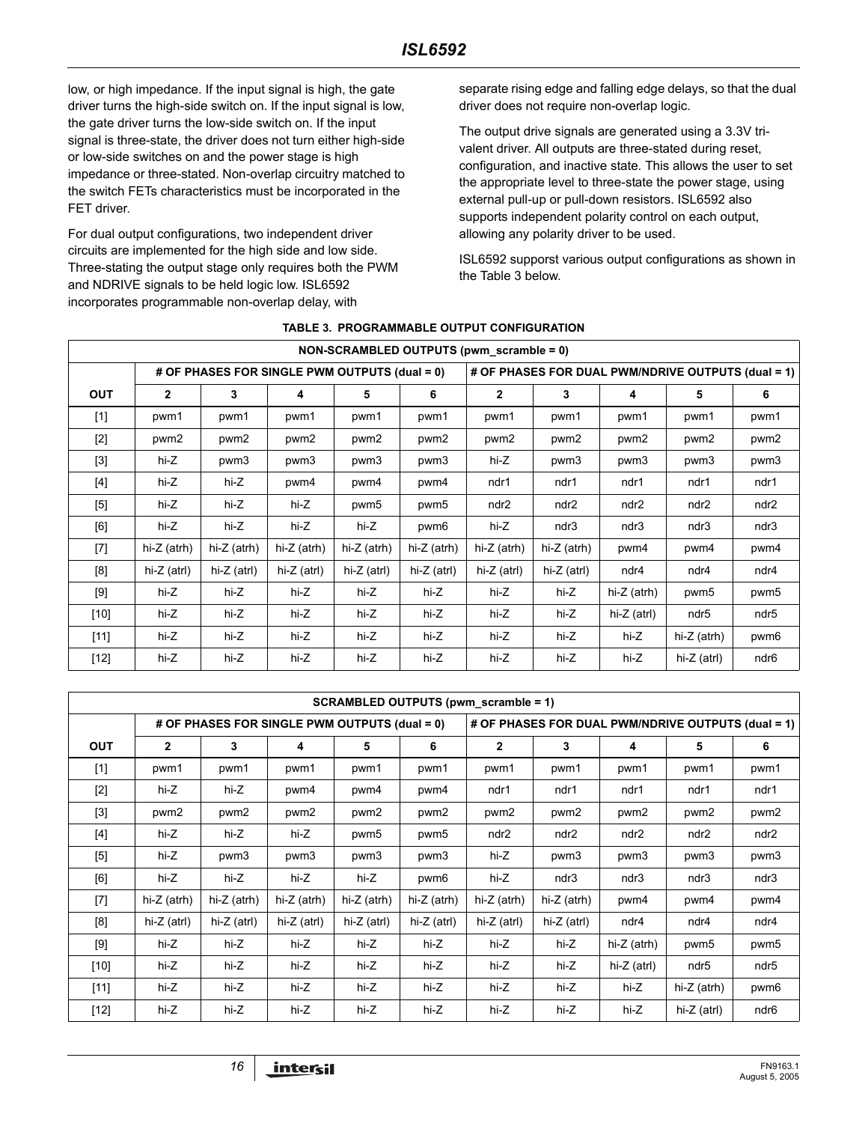low, or high impedance. If the input signal is high, the gate driver turns the high-side switch on. If the input signal is low, the gate driver turns the low-side switch on. If the input signal is three-state, the driver does not turn either high-side or low-side switches on and the power stage is high impedance or three-stated. Non-overlap circuitry matched to the switch FETs characteristics must be incorporated in the FET driver.

For dual output configurations, two independent driver circuits are implemented for the high side and low side. Three-stating the output stage only requires both the PWM and NDRIVE signals to be held logic low. ISL6592 incorporates programmable non-overlap delay, with

separate rising edge and falling edge delays, so that the dual driver does not require non-overlap logic.

The output drive signals are generated using a 3.3V trivalent driver. All outputs are three-stated during reset, configuration, and inactive state. This allows the user to set the appropriate level to three-state the power stage, using external pull-up or pull-down resistors. ISL6592 also supports independent polarity control on each output, allowing any polarity driver to be used.

ISL6592 supporst various output configurations as shown in the Table 3 below.

|                                                                                                                                                                                                                      | NON-SCRAMBLED OUTPUTS (pwm scramble = 0) |                                               |               |             |                                                    |               |                  |                  |                  |      |  |  |
|----------------------------------------------------------------------------------------------------------------------------------------------------------------------------------------------------------------------|------------------------------------------|-----------------------------------------------|---------------|-------------|----------------------------------------------------|---------------|------------------|------------------|------------------|------|--|--|
|                                                                                                                                                                                                                      |                                          | # OF PHASES FOR SINGLE PWM OUTPUTS (dual = 0) |               |             | # OF PHASES FOR DUAL PWM/NDRIVE OUTPUTS (dual = 1) |               |                  |                  |                  |      |  |  |
| <b>OUT</b>                                                                                                                                                                                                           | $\mathbf{2}$                             | 3                                             | 4             | 5           | 6                                                  | $\mathbf{2}$  | 3                | 4                | 5                | 6    |  |  |
| $[1]$                                                                                                                                                                                                                | pwm1                                     | pwm1                                          | pwm1          | pwm1        | pwm1                                               | pwm1          | pwm1             | pwm1             | pwm1             | pwm1 |  |  |
| $[2]$                                                                                                                                                                                                                | pwm2                                     | pwm2                                          | pwm2          | pwm2        | pwm2                                               | pwm2          | pwm2             | pwm2             | pwm2             | pwm2 |  |  |
| $[3]$                                                                                                                                                                                                                | hi-Z                                     | pwm3                                          | pwm3          | pwm3        | pwm3                                               | hi-Z          | pwm3             | pwm3             | pwm <sub>3</sub> | pwm3 |  |  |
| [4]                                                                                                                                                                                                                  | hi-Z                                     | hi-Z                                          | pwm4          | pwm4        | pwm4                                               | ndr1          | ndr1             | ndr1             | ndr1             | ndr1 |  |  |
| $[5]$                                                                                                                                                                                                                | hi-Z                                     | hi-Z                                          | hi-Z          | pwm5        | pwm5                                               | ndr2          | ndr <sub>2</sub> | ndr <sub>2</sub> | ndr2             | ndr2 |  |  |
| [6]                                                                                                                                                                                                                  | hi-Z                                     | hi-Z                                          | hi-Z          | hi-Z        | pwm6                                               | hi-Z          | ndr3             | ndr3             | ndr3             | ndr3 |  |  |
| $[7] \centering% \includegraphics[width=1\textwidth]{images/TransY.pdf} \caption{The first two different values of $d=3$ and $d=4$ (left) and $d=5$ (right) and $d=6$ (right) and $d=6$ (right).} \label{fig:class}$ | hi-Z (atrh)                              | $hi-Z$ (atrh)                                 | $hi-Z$ (atrh) | hi-Z (atrh) | hi-Z (atrh)                                        | $hi-Z$ (atrh) | hi-Z (atrh)      | pwm4             | pwm4             | pwm4 |  |  |
| [8]                                                                                                                                                                                                                  | hi-Z (atrl)                              | $hi-Z$ (atrl)                                 | $hi-Z$ (atrl) | hi-Z (atrl) | $hi-Z$ (atrl)                                      | $hi-Z$ (atrl) | $hi-Z$ (atrl)    | ndr4             | ndr4             | ndr4 |  |  |
| $[9]$                                                                                                                                                                                                                | hi-Z                                     | hi-Z                                          | hi-Z          | hi-Z        | hi-Z                                               | hi-Z          | hi-Z             | hi-Z (atrh)      | pwm5             | pwm5 |  |  |
| $[10]$                                                                                                                                                                                                               | hi-Z                                     | hi-Z                                          | hi-Z          | hi-Z        | hi-Z                                               | hi-Z          | hi-Z             | hi-Z (atrl)      | ndr5             | ndr5 |  |  |
| [11]                                                                                                                                                                                                                 | hi-Z                                     | hi-Z                                          | hi-Z          | hi-Z        | hi-Z                                               | hi-Z          | hi-Z             | hi-Z             | $hi-Z$ (atrh)    | pwm6 |  |  |
| $[12]$                                                                                                                                                                                                               | hi-Z                                     | hi-Z                                          | hi-Z          | hi-Z        | hi-Z                                               | hi-Z          | hi-Z             | hi-Z             | $hi-Z$ (atrl)    | ndr6 |  |  |

#### **TABLE 3. PROGRAMMABLE OUTPUT CONFIGURATION**

| <b>SCRAMBLED OUTPUTS (pwm_scramble = 1)</b> |                                               |               |               |               |               |                |                                                    |             |               |      |  |  |  |
|---------------------------------------------|-----------------------------------------------|---------------|---------------|---------------|---------------|----------------|----------------------------------------------------|-------------|---------------|------|--|--|--|
|                                             | # OF PHASES FOR SINGLE PWM OUTPUTS (dual = 0) |               |               |               |               |                | # OF PHASES FOR DUAL PWM/NDRIVE OUTPUTS (dual = 1) |             |               |      |  |  |  |
| <b>OUT</b>                                  | $\mathbf{2}$                                  | 3             | 4             | 5             | 6             | $\overline{2}$ | 3                                                  | 4           | 5             | 6    |  |  |  |
| $[1]$                                       | pwm1                                          | pwm1          | pwm1          | pwm1          | pwm1          | pwm1           | pwm1                                               | pwm1        | pwm1          | pwm1 |  |  |  |
| $[2]$                                       | hi-Z                                          | hi-Z          | pwm4          | pwm4          | pwm4          | ndr1           | ndr1                                               | ndr1        | ndr1          | ndr1 |  |  |  |
| $[3]$                                       | pwm2                                          | pwm2          | pwm2          | pwm2          | pwm2          | pwm2           | pwm2                                               | pwm2        | pwm2          | pwm2 |  |  |  |
| $[4]$                                       | hi-Z                                          | hi-Z          | hi-Z          | pwm5          | pwm5          | ndr2           | ndr2                                               | ndr2        | ndr2          | ndr2 |  |  |  |
| [5]                                         | hi-Z                                          | pwm3          | pwm3          | pwm3          | pwm3          | hi-Z           | pwm3                                               | pwm3        | pwm3          | pwm3 |  |  |  |
| [6]                                         | hi-Z                                          | hi-Z          | hi-Z          | hi-Z          | pwm6          | hi-Z           | ndr3                                               | ndr3        | ndr3          | ndr3 |  |  |  |
| $[7]$                                       | hi-Z (atrh)                                   | $hi-Z$ (atrh) | hi-Z $(ath)$  | hi-Z (atrh)   | hi-Z $(atrh)$ | hi-Z (atrh)    | $hi-Z$ (atrh)                                      | pwm4        | pwm4          | pwm4 |  |  |  |
| [8]                                         | $hi-Z$ (atrl)                                 | $hi-Z$ (atrl) | $hi-Z$ (atrl) | $hi-Z$ (atrl) | hi-Z $(art)$  | $hi-Z$ (atrl)  | $hi-Z$ (atrl)                                      | ndr4        | ndr4          | ndr4 |  |  |  |
| [9]                                         | hi-Z                                          | hi-Z          | hi-Z          | hi-Z          | hi-Z          | hi-Z           | hi-Z                                               | hi-Z (atrh) | pwm5          | pwm5 |  |  |  |
| $[10]$                                      | hi-Z                                          | hi-Z          | hi-Z          | hi-Z          | hi-Z          | hi-Z           | hi-Z                                               | hi-Z (atrl) | ndr5          | ndr5 |  |  |  |
| $[11]$                                      | hi-Z                                          | hi-Z          | hi-Z          | hi-Z          | hi-Z          | hi-Z           | hi-Z                                               | hi-Z        | $hi-Z$ (atrh) | pwm6 |  |  |  |
| $[12]$                                      | hi-Z                                          | hi-Z          | hi-Z          | hi-Z          | hi-Z          | hi-Z           | hi-Z                                               | hi-Z        | $hi-Z$ (atrl) | ndr6 |  |  |  |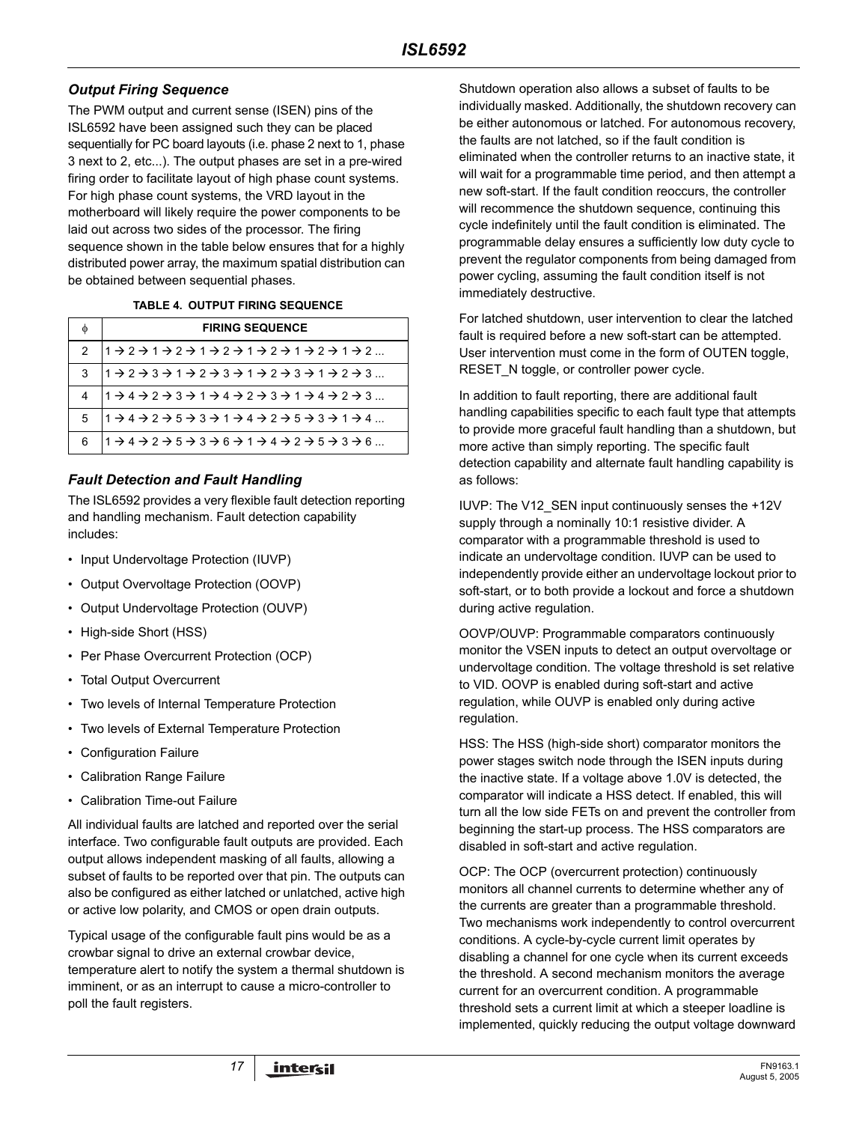## *Output Firing Sequence*

The PWM output and current sense (ISEN) pins of the ISL6592 have been assigned such they can be placed sequentially for PC board layouts (i.e. phase 2 next to 1, phase 3 next to 2, etc...). The output phases are set in a pre-wired firing order to facilitate layout of high phase count systems. For high phase count systems, the VRD layout in the motherboard will likely require the power components to be laid out across two sides of the processor. The firing sequence shown in the table below ensures that for a highly distributed power array, the maximum spatial distribution can be obtained between sequential phases.

#### **TABLE 4. OUTPUT FIRING SEQUENCE**

|               | <b>FIRING SEQUENCE</b>                                                                                                                                          |
|---------------|-----------------------------------------------------------------------------------------------------------------------------------------------------------------|
| $\mathcal{P}$ | $1 + 2 + 1 + 2 + 1 + 2 + 1 + 2 + 1 + 2 + 1 + 2 + $                                                                                                              |
| 3             | $ 1 \rightarrow 2 \rightarrow 3 \rightarrow 1 \rightarrow 2 \rightarrow 3 \rightarrow 1 \rightarrow 2 \rightarrow 3 \rightarrow 1 \rightarrow 2 \rightarrow 3 $ |
| 4             | $1 + 4 + 2 + 3 + 1 + 4 + 2 + 3 + 1 + 4 + 2 + 3$                                                                                                                 |
| 5             | $11 \rightarrow 4 \rightarrow 2 \rightarrow 5 \rightarrow 3 \rightarrow 1 \rightarrow 4 \rightarrow 2 \rightarrow 5 \rightarrow 3 \rightarrow 1 \rightarrow 4$  |
| 6             | $ 1 \rightarrow 4 \rightarrow 2 \rightarrow 5 \rightarrow 3 \rightarrow 6 \rightarrow 1 \rightarrow 4 \rightarrow 2 \rightarrow 5 \rightarrow 3 \rightarrow 6$  |

## *Fault Detection and Fault Handling*

The ISL6592 provides a very flexible fault detection reporting and handling mechanism. Fault detection capability includes:

- Input Undervoltage Protection (IUVP)
- Output Overvoltage Protection (OOVP)
- Output Undervoltage Protection (OUVP)
- High-side Short (HSS)
- Per Phase Overcurrent Protection (OCP)
- Total Output Overcurrent
- Two levels of Internal Temperature Protection
- Two levels of External Temperature Protection
- Configuration Failure
- Calibration Range Failure
- Calibration Time-out Failure

All individual faults are latched and reported over the serial interface. Two configurable fault outputs are provided. Each output allows independent masking of all faults, allowing a subset of faults to be reported over that pin. The outputs can also be configured as either latched or unlatched, active high or active low polarity, and CMOS or open drain outputs.

Typical usage of the configurable fault pins would be as a crowbar signal to drive an external crowbar device, temperature alert to notify the system a thermal shutdown is imminent, or as an interrupt to cause a micro-controller to poll the fault registers.

Shutdown operation also allows a subset of faults to be individually masked. Additionally, the shutdown recovery can be either autonomous or latched. For autonomous recovery, the faults are not latched, so if the fault condition is eliminated when the controller returns to an inactive state, it will wait for a programmable time period, and then attempt a new soft-start. If the fault condition reoccurs, the controller will recommence the shutdown sequence, continuing this cycle indefinitely until the fault condition is eliminated. The programmable delay ensures a sufficiently low duty cycle to prevent the regulator components from being damaged from power cycling, assuming the fault condition itself is not immediately destructive.

For latched shutdown, user intervention to clear the latched fault is required before a new soft-start can be attempted. User intervention must come in the form of OUTEN toggle, RESET N toggle, or controller power cycle.

In addition to fault reporting, there are additional fault handling capabilities specific to each fault type that attempts to provide more graceful fault handling than a shutdown, but more active than simply reporting. The specific fault detection capability and alternate fault handling capability is as follows:

IUVP: The V12\_SEN input continuously senses the +12V supply through a nominally 10:1 resistive divider. A comparator with a programmable threshold is used to indicate an undervoltage condition. IUVP can be used to independently provide either an undervoltage lockout prior to soft-start, or to both provide a lockout and force a shutdown during active regulation.

OOVP/OUVP: Programmable comparators continuously monitor the VSEN inputs to detect an output overvoltage or undervoltage condition. The voltage threshold is set relative to VID. OOVP is enabled during soft-start and active regulation, while OUVP is enabled only during active regulation.

HSS: The HSS (high-side short) comparator monitors the power stages switch node through the ISEN inputs during the inactive state. If a voltage above 1.0V is detected, the comparator will indicate a HSS detect. If enabled, this will turn all the low side FETs on and prevent the controller from beginning the start-up process. The HSS comparators are disabled in soft-start and active regulation.

OCP: The OCP (overcurrent protection) continuously monitors all channel currents to determine whether any of the currents are greater than a programmable threshold. Two mechanisms work independently to control overcurrent conditions. A cycle-by-cycle current limit operates by disabling a channel for one cycle when its current exceeds the threshold. A second mechanism monitors the average current for an overcurrent condition. A programmable threshold sets a current limit at which a steeper loadline is implemented, quickly reducing the output voltage downward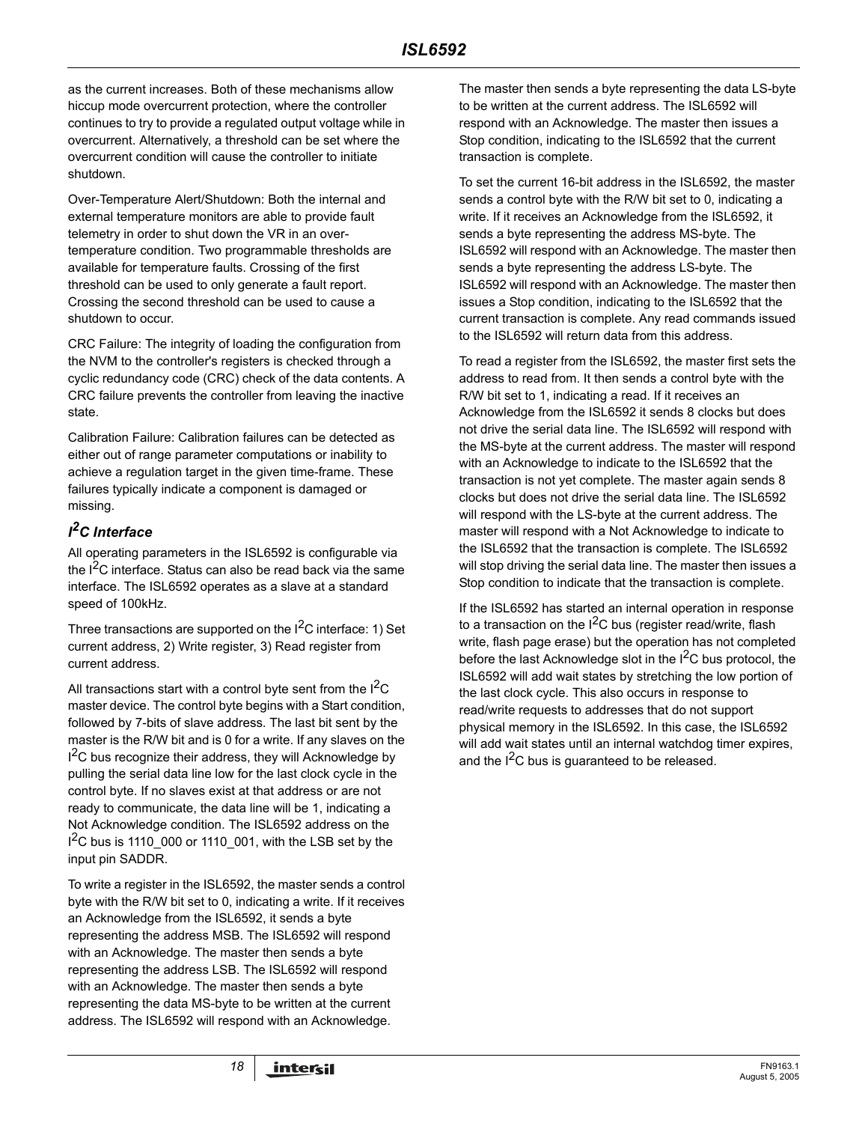as the current increases. Both of these mechanisms allow hiccup mode overcurrent protection, where the controller continues to try to provide a regulated output voltage while in overcurrent. Alternatively, a threshold can be set where the overcurrent condition will cause the controller to initiate shutdown.

Over-Temperature Alert/Shutdown: Both the internal and external temperature monitors are able to provide fault telemetry in order to shut down the VR in an overtemperature condition. Two programmable thresholds are available for temperature faults. Crossing of the first threshold can be used to only generate a fault report. Crossing the second threshold can be used to cause a shutdown to occur.

CRC Failure: The integrity of loading the configuration from the NVM to the controller's registers is checked through a cyclic redundancy code (CRC) check of the data contents. A CRC failure prevents the controller from leaving the inactive state.

Calibration Failure: Calibration failures can be detected as either out of range parameter computations or inability to achieve a regulation target in the given time-frame. These failures typically indicate a component is damaged or missing.

## *I 2C Interface*

All operating parameters in the ISL6592 is configurable via the  $I^2C$  interface. Status can also be read back via the same interface. The ISL6592 operates as a slave at a standard speed of 100kHz.

Three transactions are supported on the  $I^2C$  interface: 1) Set current address, 2) Write register, 3) Read register from current address.

All transactions start with a control byte sent from the  $I<sup>2</sup>C$ master device. The control byte begins with a Start condition, followed by 7-bits of slave address. The last bit sent by the master is the R/W bit and is 0 for a write. If any slaves on the  $I^2C$  bus recognize their address, they will Acknowledge by pulling the serial data line low for the last clock cycle in the control byte. If no slaves exist at that address or are not ready to communicate, the data line will be 1, indicating a Not Acknowledge condition. The ISL6592 address on the  $1^2$ C bus is 1110\_000 or 1110\_001, with the LSB set by the input pin SADDR.

To write a register in the ISL6592, the master sends a control byte with the R/W bit set to 0, indicating a write. If it receives an Acknowledge from the ISL6592, it sends a byte representing the address MSB. The ISL6592 will respond with an Acknowledge. The master then sends a byte representing the address LSB. The ISL6592 will respond with an Acknowledge. The master then sends a byte representing the data MS-byte to be written at the current address. The ISL6592 will respond with an Acknowledge.

The master then sends a byte representing the data LS-byte to be written at the current address. The ISL6592 will respond with an Acknowledge. The master then issues a Stop condition, indicating to the ISL6592 that the current transaction is complete.

To set the current 16-bit address in the ISL6592, the master sends a control byte with the R/W bit set to 0, indicating a write. If it receives an Acknowledge from the ISL6592, it sends a byte representing the address MS-byte. The ISL6592 will respond with an Acknowledge. The master then sends a byte representing the address LS-byte. The ISL6592 will respond with an Acknowledge. The master then issues a Stop condition, indicating to the ISL6592 that the current transaction is complete. Any read commands issued to the ISL6592 will return data from this address.

To read a register from the ISL6592, the master first sets the address to read from. It then sends a control byte with the R/W bit set to 1, indicating a read. If it receives an Acknowledge from the ISL6592 it sends 8 clocks but does not drive the serial data line. The ISL6592 will respond with the MS-byte at the current address. The master will respond with an Acknowledge to indicate to the ISL6592 that the transaction is not yet complete. The master again sends 8 clocks but does not drive the serial data line. The ISL6592 will respond with the LS-byte at the current address. The master will respond with a Not Acknowledge to indicate to the ISL6592 that the transaction is complete. The ISL6592 will stop driving the serial data line. The master then issues a Stop condition to indicate that the transaction is complete.

If the ISL6592 has started an internal operation in response to a transaction on the  $I^2C$  bus (register read/write, flash write, flash page erase) but the operation has not completed before the last Acknowledge slot in the I<sup>2</sup>C bus protocol, the ISL6592 will add wait states by stretching the low portion of the last clock cycle. This also occurs in response to read/write requests to addresses that do not support physical memory in the ISL6592. In this case, the ISL6592 will add wait states until an internal watchdog timer expires, and the  $I^2C$  bus is guaranteed to be released.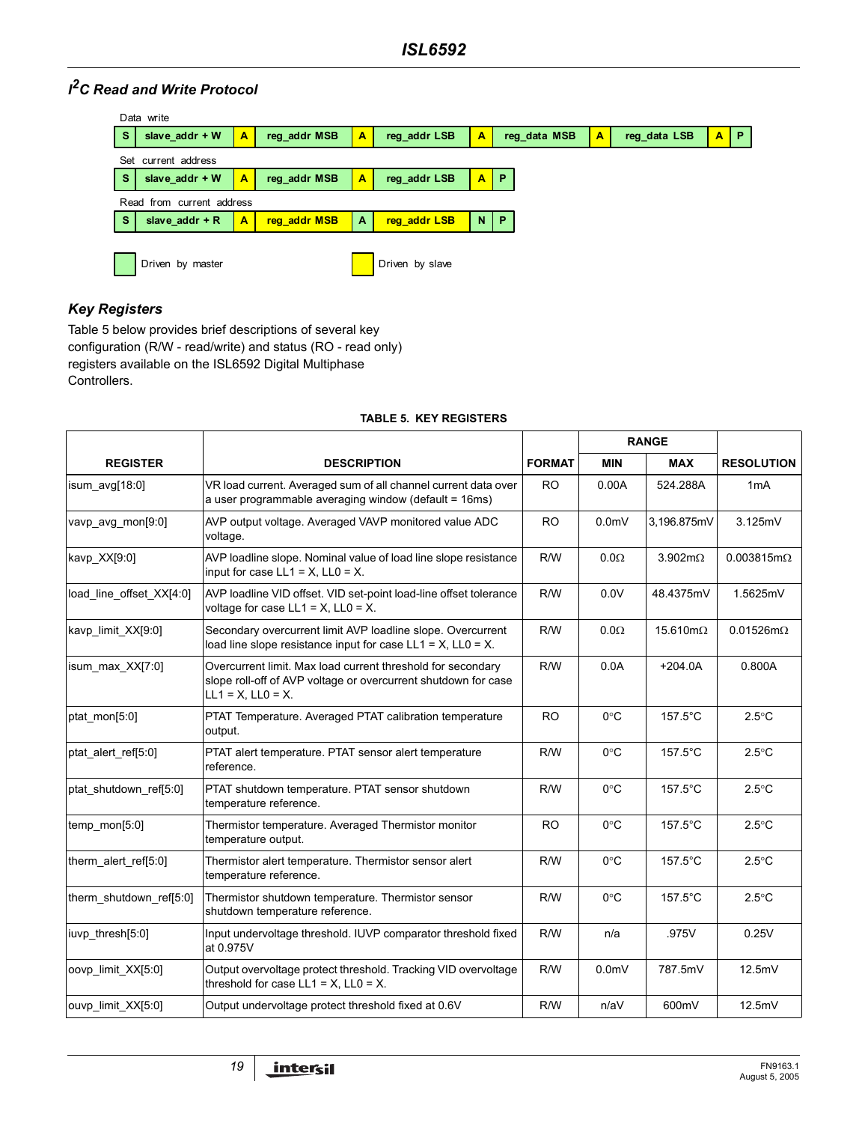## *I 2C Read and Write Protocol*

|          | Data write                |   |              |              |                 |    |              |                         |              |                         |                |
|----------|---------------------------|---|--------------|--------------|-----------------|----|--------------|-------------------------|--------------|-------------------------|----------------|
| <b>S</b> | slave $addr + W$          | A | reg addr MSB | A            | reg addr LSB    | A  | reg data MSB | $\overline{\mathsf{A}}$ | reg data LSB | $\overline{\mathbf{A}}$ | $\blacksquare$ |
|          | Set current address       |   |              |              |                 |    |              |                         |              |                         |                |
| <b>S</b> | slave $addr + W$          | A | reg addr MSB | A            | reg addr LSB    | A  | / P          |                         |              |                         |                |
|          | Read from current address |   |              |              |                 |    |              |                         |              |                         |                |
| <b>S</b> | slave $addr + R$          | A | reg addr MSB | $\mathbf{A}$ | reg addr LSB    | N. | P            |                         |              |                         |                |
|          |                           |   |              |              |                 |    |              |                         |              |                         |                |
|          | Driven by master          |   |              |              | Driven by slave |    |              |                         |              |                         |                |

## *Key Registers*

Table [5](#page-18-0) below provides brief descriptions of several key configuration (R/W - read/write) and status (RO - read only) registers available on the ISL6592 Digital Multiphase Controllers.

<span id="page-18-0"></span>

|                          |                                                                                                                                                          |               | <b>RANGE</b>     |                         |                      |  |
|--------------------------|----------------------------------------------------------------------------------------------------------------------------------------------------------|---------------|------------------|-------------------------|----------------------|--|
| <b>REGISTER</b>          | <b>DESCRIPTION</b>                                                                                                                                       | <b>FORMAT</b> | <b>MIN</b>       | <b>MAX</b>              | <b>RESOLUTION</b>    |  |
| isum $avg[18:0]$         | VR load current. Averaged sum of all channel current data over<br>a user programmable averaging window (default = 16ms)                                  | <b>RO</b>     | 0.00A            | 524.288A                | 1mA                  |  |
| vavp avg mon[9:0]        | AVP output voltage. Averaged VAVP monitored value ADC<br>voltage.                                                                                        | <b>RO</b>     | 0.0 <sub>m</sub> | 3,196.875mV             | 3.125mV              |  |
| kavp_XX[9:0]             | AVP loadline slope. Nominal value of load line slope resistance<br>input for case $LL1 = X$ , $LL0 = X$ .                                                | R/W           | $0.0\Omega$      | $3.902 \text{m}\Omega$  | $0.003815m\Omega$    |  |
| load line offset XX[4:0] | AVP loadline VID offset. VID set-point load-line offset tolerance<br>voltage for case $LL1 = X$ , $LL0 = X$ .                                            | R/W           | 0.0V             | 48.4375mV               | 1.5625mV             |  |
| kavp_limit_XX[9:0]       | Secondary overcurrent limit AVP loadline slope. Overcurrent<br>load line slope resistance input for case $LL1 = X$ , $LL0 = X$ .                         | R/W           | $0.0\Omega$      | $15.610 \text{m}\Omega$ | $0.01526$ m $\Omega$ |  |
| isum_max_XX[7:0]         | Overcurrent limit. Max load current threshold for secondary<br>slope roll-off of AVP voltage or overcurrent shutdown for case<br>$LL1 = X$ , $LL0 = X$ . | R/W           | 0.0A             | $+204.0A$               | 0.800A               |  |
| ptat mon[5:0]            | PTAT Temperature. Averaged PTAT calibration temperature<br>output.                                                                                       | <b>RO</b>     | $0^{\circ}$ C    | $157.5^{\circ}$ C       | $2.5^{\circ}$ C      |  |
| ptat alert ref[5:0]      | PTAT alert temperature. PTAT sensor alert temperature<br>reference.                                                                                      | R/W           | $0^{\circ}$ C    | $157.5^{\circ}$ C       | $2.5^{\circ}$ C      |  |
| ptat shutdown ref[5:0]   | PTAT shutdown temperature. PTAT sensor shutdown<br>temperature reference.                                                                                | R/W           | $0^{\circ}$ C    | $157.5^{\circ}$ C       | $2.5^{\circ}$ C      |  |
| temp_mon[5:0]            | Thermistor temperature. Averaged Thermistor monitor<br>temperature output.                                                                               | <b>RO</b>     | $0^{\circ}$ C    | 157.5°C                 | $2.5^{\circ}$ C      |  |
| therm_alert_ref[5:0]     | Thermistor alert temperature. Thermistor sensor alert<br>temperature reference.                                                                          | R/W           | $0^{\circ}$ C    | $157.5^{\circ}$ C       | $2.5^{\circ}$ C      |  |
| therm_shutdown_ref[5:0]  | Thermistor shutdown temperature. Thermistor sensor<br>shutdown temperature reference.                                                                    | R/W           | $0^{\circ}$ C    | 157.5°C                 | $2.5^{\circ}$ C      |  |
| iuvp thresh[5:0]         | Input undervoltage threshold. IUVP comparator threshold fixed<br>at 0.975V                                                                               | R/W           | n/a              | .975V                   | 0.25V                |  |
| oovp limit XX[5:0]       | Output overvoltage protect threshold. Tracking VID overvoltage<br>threshold for case $LL1 = X$ , $LL0 = X$ .                                             | R/W           | 0.0 <sub>m</sub> | 787.5mV                 | 12.5mV               |  |
| ouvp limit XX[5:0]       | Output undervoltage protect threshold fixed at 0.6V                                                                                                      | R/W           | n/aV             | 600mV                   | 12.5mV               |  |

#### **TABLE 5. KEY REGISTERS**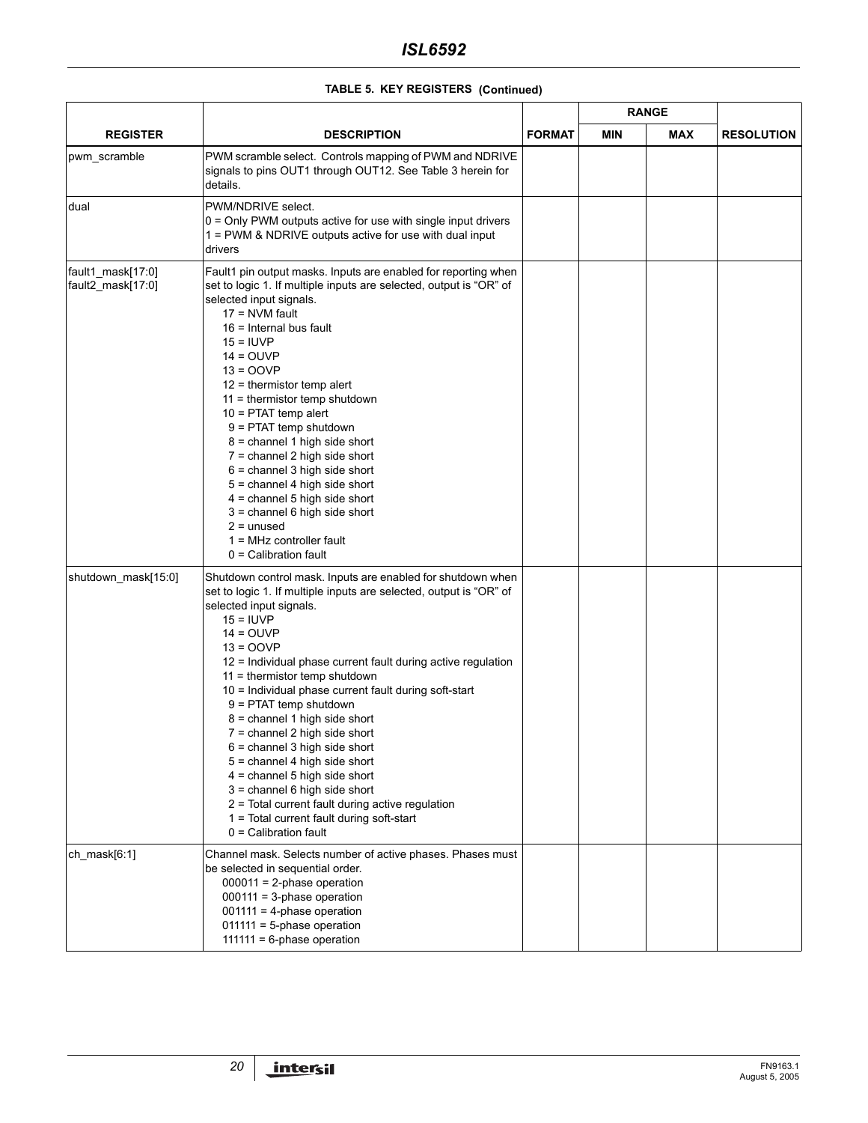|                                        |                                                                                                                                                                                                                                                                                                                                                                                                                                                                                                                                                                                                                                                                                                                                         |               | <b>RANGE</b> |            |                   |  |
|----------------------------------------|-----------------------------------------------------------------------------------------------------------------------------------------------------------------------------------------------------------------------------------------------------------------------------------------------------------------------------------------------------------------------------------------------------------------------------------------------------------------------------------------------------------------------------------------------------------------------------------------------------------------------------------------------------------------------------------------------------------------------------------------|---------------|--------------|------------|-------------------|--|
| <b>REGISTER</b>                        | <b>DESCRIPTION</b>                                                                                                                                                                                                                                                                                                                                                                                                                                                                                                                                                                                                                                                                                                                      | <b>FORMAT</b> | <b>MIN</b>   | <b>MAX</b> | <b>RESOLUTION</b> |  |
| pwm_scramble                           | PWM scramble select. Controls mapping of PWM and NDRIVE<br>signals to pins OUT1 through OUT12. See Table 3 herein for<br>details.                                                                                                                                                                                                                                                                                                                                                                                                                                                                                                                                                                                                       |               |              |            |                   |  |
| dual                                   | PWM/NDRIVE select.<br>$0 =$ Only PWM outputs active for use with single input drivers<br>1 = PWM & NDRIVE outputs active for use with dual input<br>drivers                                                                                                                                                                                                                                                                                                                                                                                                                                                                                                                                                                             |               |              |            |                   |  |
| fault1_mask[17:0]<br>fault2_mask[17:0] | Fault1 pin output masks. Inputs are enabled for reporting when<br>set to logic 1. If multiple inputs are selected, output is "OR" of<br>selected input signals.<br>$17 = NVM$ fault<br>$16$ = Internal bus fault<br>$15 = IUVP$<br>$14 = OUVP$<br>$13 = OOVP$<br>$12$ = thermistor temp alert<br>$11$ = thermistor temp shutdown<br>$10 = PTAT$ temp alert<br>$9 = P TAT$ temp shutdown<br>$8$ = channel 1 high side short<br>$7 =$ channel 2 high side short<br>$6$ = channel 3 high side short<br>$5 =$ channel 4 high side short<br>$4 =$ channel 5 high side short<br>$3$ = channel 6 high side short<br>$2 =$ unused<br>$1 = MHz$ controller fault<br>$0 =$ Calibration fault                                                      |               |              |            |                   |  |
| shutdown_mask[15:0]                    | Shutdown control mask. Inputs are enabled for shutdown when<br>set to logic 1. If multiple inputs are selected, output is "OR" of<br>selected input signals.<br>$15 = IUVP$<br>$14 = OUVP$<br>$13 = OOVP$<br>12 = Individual phase current fault during active regulation<br>$11$ = thermistor temp shutdown<br>10 = Individual phase current fault during soft-start<br>9 = PTAT temp shutdown<br>$8$ = channel 1 high side short<br>7 = channel 2 high side short<br>$6$ = channel 3 high side short<br>5 = channel 4 high side short<br>$4$ = channel 5 high side short<br>3 = channel 6 high side short<br>2 = Total current fault during active regulation<br>1 = Total current fault during soft-start<br>$0 =$ Calibration fault |               |              |            |                   |  |
| ch_mask $[6:1]$                        | Channel mask. Selects number of active phases. Phases must<br>be selected in sequential order.<br>$000011 = 2$ -phase operation<br>$000111 = 3$ -phase operation<br>$001111 = 4$ -phase operation<br>$011111 = 5$ -phase operation<br>$111111 = 6$ -phase operation                                                                                                                                                                                                                                                                                                                                                                                                                                                                     |               |              |            |                   |  |